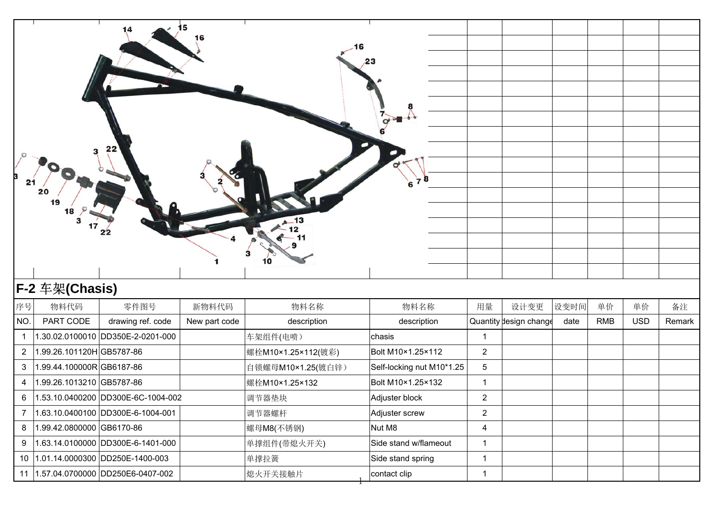| 21             | 20<br>19<br>18<br>з<br>17 | 22<br>22                            | 15<br>16               | 10                  | 23                        |                         |                                |              |                  |                  |              |
|----------------|---------------------------|-------------------------------------|------------------------|---------------------|---------------------------|-------------------------|--------------------------------|--------------|------------------|------------------|--------------|
|                | F-2 车架(Chasis)            |                                     |                        |                     |                           |                         |                                |              |                  |                  |              |
| 序号<br>NO.      | 物料代码<br>PART CODE         | 零件图号<br>drawing ref. code           | 新物料代码<br>New part code | 物料名称<br>description | 物料名称<br>description       | 用量                      | 设计变更<br>Quantity design change | 设变时间<br>date | 单价<br><b>RMB</b> | 单价<br><b>USD</b> | 备注<br>Remark |
| $\overline{1}$ |                           | 1.30.02.0100010 DD350E-2-0201-000   |                        | 车架组件(电喷)            | chasis                    | $\mathbf{1}$            |                                |              |                  |                  |              |
| $\overline{2}$ | 1.99.26.101120H GB5787-86 |                                     |                        | 螺栓M10×1.25×112(镀彩)  | Bolt M10×1.25×112         | $\overline{2}$          |                                |              |                  |                  |              |
| 3              | 1.99.44.100000RGB6187-86  |                                     |                        | 自锁螺母M10×1.25(镀白锌)   | Self-locking nut M10*1.25 | 5                       |                                |              |                  |                  |              |
| 4              | 1.99.26.1013210 GB5787-86 |                                     |                        | 螺栓M10×1.25×132      | Bolt M10×1.25×132         | 1                       |                                |              |                  |                  |              |
| 6              |                           | 1.53.10.0400200 DD300E-6C-1004-002  |                        | 调节器垫块               | Adjuster block            | $\overline{\mathbf{c}}$ |                                |              |                  |                  |              |
| $\overline{7}$ |                           | 1.63.10.0400100 DD300E-6-1004-001   |                        | 调节器螺杆               | Adjuster screw            | $\overline{2}$          |                                |              |                  |                  |              |
| 8              | 1.99.42.0800000 GB6170-86 |                                     |                        | 螺母M8(不锈钢)           | Nut M8                    | $\overline{4}$          |                                |              |                  |                  |              |
| 9              |                           | 1.63.14.0100000 DD300E-6-1401-000   |                        | 单撑组件(带熄火开关)         | Side stand w/flameout     | $\mathbf{1}$            |                                |              |                  |                  |              |
|                |                           | 10 1.01.14.0000300 DD250E-1400-003  |                        | 单撑拉簧                | Side stand spring         | $\mathbf{1}$            |                                |              |                  |                  |              |
|                |                           | 11 1.57.04.0700000 DD250E6-0407-002 |                        | 熄火开关接触片             | contact clip              | $\mathbf{1}$            |                                |              |                  |                  |              |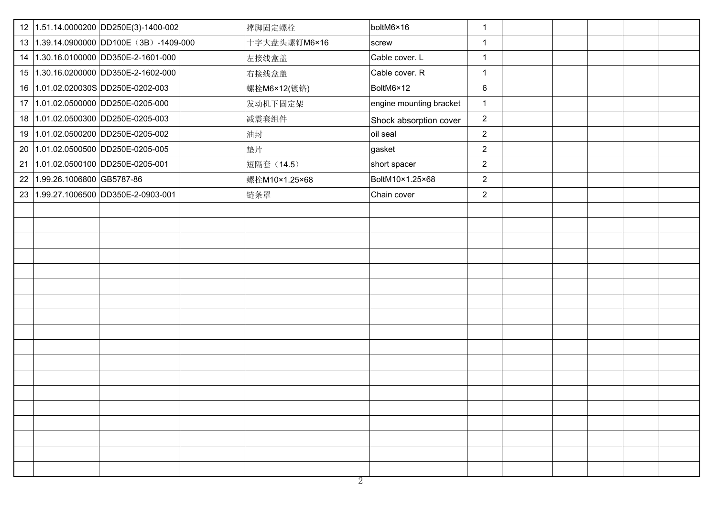|                              | 12 1.51.14.0000200 DD250E(3)-1400-002    | 撑脚固定螺栓        | boltM6×16               | $\mathbf{1}$   |  |  |
|------------------------------|------------------------------------------|---------------|-------------------------|----------------|--|--|
|                              | 13 1.39.14.0900000 DD100E (3B) -1409-000 | 十字大盘头螺钉M6×16  | screw                   | $\mathbf{1}$   |  |  |
|                              | 14 1.30.16.0100000 DD350E-2-1601-000     | 左接线盒盖         | Cable cover. L          | $\mathbf{1}$   |  |  |
|                              | 15 1.30.16.0200000 DD350E-2-1602-000     | 右接线盒盖         | Cable cover. R          | $\mathbf{1}$   |  |  |
|                              | 16 1.01.02.020030S DD250E-0202-003       | 螺栓M6×12(镀铬)   | BoltM6×12               | 6              |  |  |
|                              | 17 1.01.02.0500000 DD250E-0205-000       | 发动机下固定架       | engine mounting bracket | $\mathbf{1}$   |  |  |
|                              | 18 1.01.02.0500300 DD250E-0205-003       | 减震套组件         | Shock absorption cover  | $\overline{2}$ |  |  |
|                              | 19 1.01.02.0500200 DD250E-0205-002       | 油封            | oil seal                | $\overline{2}$ |  |  |
|                              | 20 1.01.02.0500500 DD250E-0205-005       | 垫片            | gasket                  | $\overline{2}$ |  |  |
|                              | 21 1.01.02.0500100 DD250E-0205-001       | 短隔套 (14.5)    | short spacer            | $\overline{2}$ |  |  |
| 22 1.99.26.1006800 GB5787-86 |                                          | 螺栓M10×1.25×68 | BoltM10×1.25×68         | $\overline{2}$ |  |  |
|                              | 23 1.99.27.1006500 DD350E-2-0903-001     | 链条罩           | Chain cover             | $\overline{2}$ |  |  |
|                              |                                          |               |                         |                |  |  |
|                              |                                          |               |                         |                |  |  |
|                              |                                          |               |                         |                |  |  |
|                              |                                          |               |                         |                |  |  |
|                              |                                          |               |                         |                |  |  |
|                              |                                          |               |                         |                |  |  |
|                              |                                          |               |                         |                |  |  |
|                              |                                          |               |                         |                |  |  |
|                              |                                          |               |                         |                |  |  |
|                              |                                          |               |                         |                |  |  |
|                              |                                          |               |                         |                |  |  |
|                              |                                          |               |                         |                |  |  |
|                              |                                          |               |                         |                |  |  |
|                              |                                          |               |                         |                |  |  |
|                              |                                          |               |                         |                |  |  |
|                              |                                          |               |                         |                |  |  |
|                              |                                          |               |                         |                |  |  |
|                              |                                          |               |                         |                |  |  |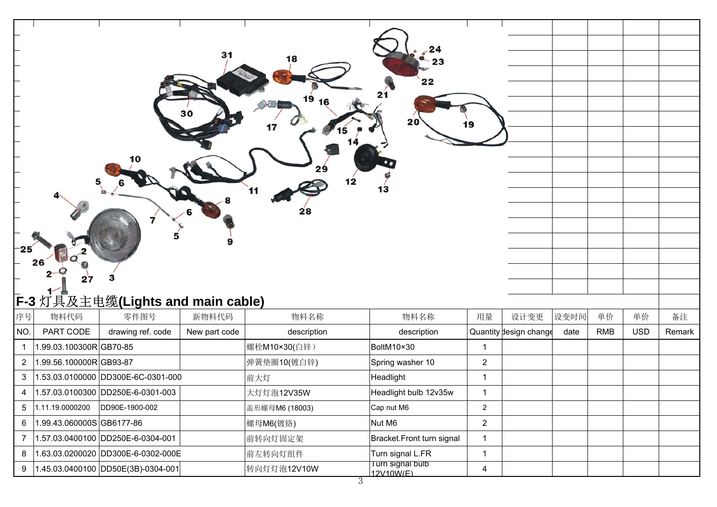| 25                      | 26<br>27                  | F-3 灯具及主电缆(Lights and main cable)      | 31            | 18<br>19<br>16<br>12<br>28 | 22<br>20<br>13                | 19             |                        |      |            |            |        |
|-------------------------|---------------------------|----------------------------------------|---------------|----------------------------|-------------------------------|----------------|------------------------|------|------------|------------|--------|
| 序号                      | 物料代码                      | 零件图号                                   | 新物料代码         | 物料名称                       | 物料名称                          | 用量             | 设计变更                   | 设变时间 | 单价         | 单价         | 备注     |
| NO.                     | PART CODE                 | drawing ref. code                      | New part code | description                | description                   |                | Quantity design change | date | <b>RMB</b> | <b>USD</b> | Remark |
| $\overline{\mathbf{1}}$ | 1.99.03.100300RGB70-85    |                                        |               | 螺栓M10×30(白锌)               | BoltM10×30                    | $\mathbf{1}$   |                        |      |            |            |        |
| $\overline{2}$          | 1.99.56.100000RGB93-87    |                                        |               | 弹簧垫圈10(镀白锌)                | Spring washer 10              | $\overline{2}$ |                        |      |            |            |        |
| 3                       |                           | 1.53.03.0100000 DD300E-6C-0301-000     |               | 前大灯                        | Headlight                     | $\mathbf{1}$   |                        |      |            |            |        |
| 4                       |                           | 1.57.03.0100300 DD250E-6-0301-003      |               | 大灯灯泡12V35W                 | Headlight bulb 12v35w         | $\mathbf{1}$   |                        |      |            |            |        |
| $\sqrt{5}$              | 1.11.19.0000200           | DD90E-1900-002                         |               | 盖形螺母M6 (18003)             | Cap nut M6                    | $\overline{2}$ |                        |      |            |            |        |
| 6                       | 1.99.43.060000S GB6177-86 |                                        |               | 螺母M6(镀铬)                   | Nut M6                        | $\overline{2}$ |                        |      |            |            |        |
| $\overline{7}$          |                           | 1.57.03.0400100 DD250E-6-0304-001      |               | 前转向灯固定架                    | Bracket.Front turn signal     | $\mathbf{1}$   |                        |      |            |            |        |
| 8                       |                           | 1.63.03.0200020 DD300E-6-0302-000E     |               | 前左转向灯组件                    | Turn signal L.FR              | $\mathbf{1}$   |                        |      |            |            |        |
| 9                       |                           | $ 1.45.03.0400100 DD50E(3B)-0304-001 $ |               | 转向灯灯泡12V10W                | Turn signal bulb<br>12V10W(F) | $\overline{4}$ |                        |      |            |            |        |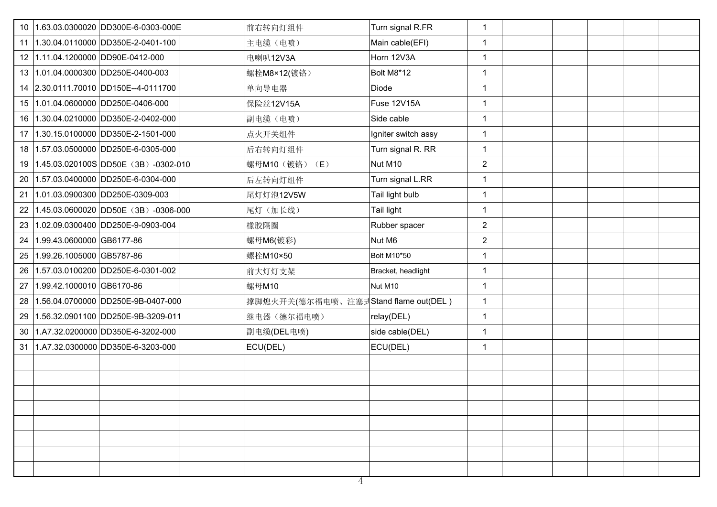| 10 | 1.63.03.0300020 DD300E-6-0303-000E       | 前右转向灯组件                              | Turn signal R.FR    | $\mathbf{1}$   |  |  |
|----|------------------------------------------|--------------------------------------|---------------------|----------------|--|--|
| 11 | 1.30.04.0110000 DD350E-2-0401-100        | 主电缆(电喷)                              | Main cable(EFI)     | $\mathbf 1$    |  |  |
|    | 12 1.11.04.1200000 DD90E-0412-000        | 电喇叭12V3A                             | Horn 12V3A          | $\mathbf 1$    |  |  |
| 13 | 1.01.04.0000300 DD250E-0400-003          | 螺栓M8×12(镀铬)                          | Bolt M8*12          | $\mathbf{1}$   |  |  |
|    | 14 2.30.0111.70010 DD150E--4-0111700     | 单向导电器                                | Diode               | $\mathbf{1}$   |  |  |
| 15 | 1.01.04.0600000 DD250E-0406-000          | 保险丝12V15A                            | Fuse 12V15A         | $\mathbf{1}$   |  |  |
| 16 | 1.30.04.0210000 DD350E-2-0402-000        | 副电缆(电喷)                              | Side cable          | $\mathbf{1}$   |  |  |
| 17 | 1.30.15.0100000 DD350E-2-1501-000        | 点火开关组件                               | Igniter switch assy | $\mathbf{1}$   |  |  |
|    | 18 1.57.03.0500000 DD250E-6-0305-000     | 后右转向灯组件                              | Turn signal R. RR   | $\mathbf{1}$   |  |  |
| 19 | 1.45.03.020100S DD50E (3B) -0302-010     | 螺母M10 (镀铬) (E)                       | Nut M10             | $\overline{c}$ |  |  |
| 20 | 1.57.03.0400000 DD250E-6-0304-000        | 后左转向灯组件                              | Turn signal L.RR    | $\mathbf 1$    |  |  |
| 21 | 1.01.03.0900300 DD250E-0309-003          | 尾灯灯泡12V5W                            | Tail light bulb     | $\mathbf{1}$   |  |  |
| 22 | 1.45.03.0600020 DD50E (3B) -0306-000     | 尾灯(加长线)                              | Tail light          | $\mathbf{1}$   |  |  |
| 23 | 1.02.09.0300400 DD250E-9-0903-004        | 橡胶隔圈                                 | Rubber spacer       | $\overline{2}$ |  |  |
| 24 | 1.99.43.0600000 GB6177-86                | 螺母M6(镀彩)                             | Nut M6              | $\overline{2}$ |  |  |
| 25 | 1.99.26.1005000 GB5787-86                | 螺栓M10×50                             | Bolt M10*50         | $\mathbf{1}$   |  |  |
| 26 | 1.57.03.0100200 DD250E-6-0301-002        | 前大灯灯支架                               | Bracket, headlight  | $\mathbf 1$    |  |  |
| 27 | 1.99.42.1000010 GB6170-86                | 螺母M10                                | Nut M10             | $\mathbf{1}$   |  |  |
| 28 | 1.56.04.0700000 DD250E-9B-0407-000       | 撑脚熄火开关(德尔福电喷、注塞式Stand flame out(DEL) |                     | $\mathbf{1}$   |  |  |
| 29 | 1.56.32.0901100 DD250E-9B-3209-011       | 继电器(德尔福电喷)                           | relay(DEL)          | $\mathbf{1}$   |  |  |
| 30 | 1.A7.32.0200000 DD350E-6-3202-000        | 副电缆(DEL电喷)                           | side cable(DEL)     | $\mathbf{1}$   |  |  |
|    | 31   1.A7.32.0300000   DD350E-6-3203-000 | ECU(DEL)                             | ECU(DEL)            | $\mathbf{1}$   |  |  |
|    |                                          |                                      |                     |                |  |  |
|    |                                          |                                      |                     |                |  |  |
|    |                                          |                                      |                     |                |  |  |
|    |                                          |                                      |                     |                |  |  |
|    |                                          |                                      |                     |                |  |  |
|    |                                          |                                      |                     |                |  |  |
|    |                                          |                                      |                     |                |  |  |
|    |                                          |                                      |                     |                |  |  |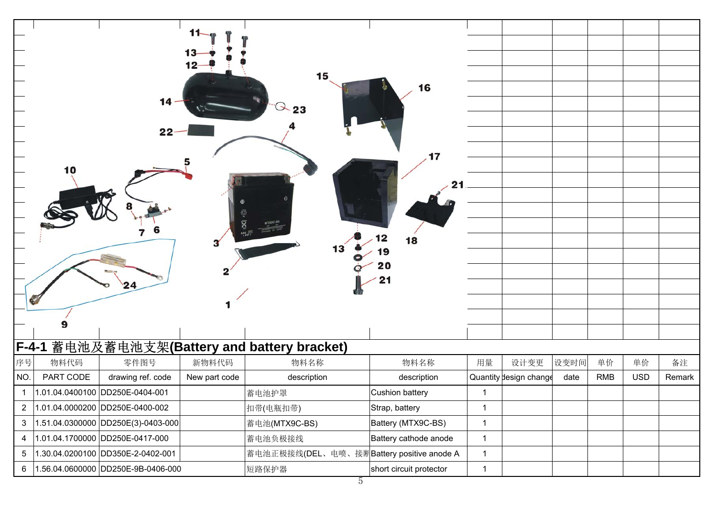|                | $11-$<br>$13 -$<br>$12-$<br>15<br>16<br>14<br>23<br>17<br>10<br>21 |                                    |               |                                           |                            |              |                        |      |            |            |        |
|----------------|--------------------------------------------------------------------|------------------------------------|---------------|-------------------------------------------|----------------------------|--------------|------------------------|------|------------|------------|--------|
|                |                                                                    | 24                                 |               | 13                                        | 12<br>18<br>9ا<br>20<br>21 |              |                        |      |            |            |        |
| F-4-1          |                                                                    |                                    |               | 蓄电池及蓄电池支架(Battery and battery bracket)    |                            |              |                        |      |            |            |        |
| 序号             | 物料代码                                                               | 零件图号                               | 新物料代码         | 物料名称                                      | 物料名称                       | 用量           | 设计变更                   | 设变时间 | 单价         | 单价         | 备注     |
| NO.            | PART CODE                                                          | drawing ref. code                  | New part code | description                               | description                |              | Quantity design change | date | <b>RMB</b> | <b>USD</b> | Remark |
| $\mathbf{1}$   |                                                                    | 1.01.04.0400100 DD250E-0404-001    |               | 蓄电池护罩                                     | Cushion battery            | $\mathbf{1}$ |                        |      |            |            |        |
| $\overline{c}$ |                                                                    | 1.01.04.0000200 DD250E-0400-002    |               | 扣带(电瓶扣带)                                  | Strap, battery             | 1            |                        |      |            |            |        |
| $\mathfrak{S}$ |                                                                    | 1.51.04.0300000 DD250E(3)-0403-000 |               | 蓄电池(MTX9C-BS)                             | Battery (MTX9C-BS)         | $\mathbf{1}$ |                        |      |            |            |        |
| 4              |                                                                    | 1.01.04.1700000 DD250E-0417-000    |               | 蓄电池负极接线                                   | Battery cathode anode      | $\mathbf{1}$ |                        |      |            |            |        |
| 5              |                                                                    | 1.30.04.0200100 DD350E-2-0402-001  |               | 蓄电池正极接线(DEL、电喷、接断Battery positive anode A |                            | $\mathbf{1}$ |                        |      |            |            |        |
| 6              |                                                                    | 1.56.04.0600000 DD250E-9B-0406-000 |               | 短路保护器                                     | short circuit protector    | $\mathbf{1}$ |                        |      |            |            |        |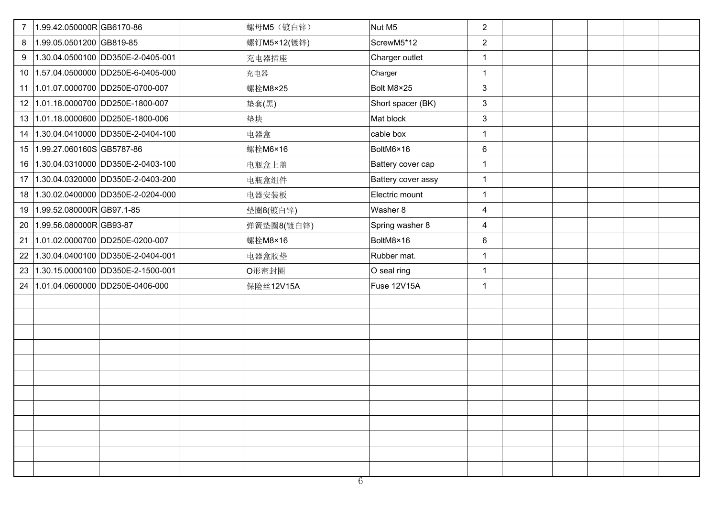| $\overline{7}$ | 1.99.42.050000RGB6170-86             | 螺母M5 (镀白锌)  | Nut M5             | $\overline{2}$ |  |  |
|----------------|--------------------------------------|-------------|--------------------|----------------|--|--|
| 8              | 1.99.05.0501200 GB819-85             | 螺钉M5×12(镀锌) | ScrewM5*12         | $\overline{2}$ |  |  |
| 9              | 1.30.04.0500100 DD350E-2-0405-001    | 充电器插座       | Charger outlet     | $\mathbf{1}$   |  |  |
|                | 10 1.57.04.0500000 DD250E-6-0405-000 | 充电器         | Charger            | $\mathbf{1}$   |  |  |
|                | 11 1.01.07.0000700 DD250E-0700-007   | 螺栓M8×25     | Bolt M8×25         | 3              |  |  |
| 12             | 1.01.18.0000700 DD250E-1800-007      | 垫套(黑)       | Short spacer (BK)  | $\mathbf{3}$   |  |  |
|                | 13 1.01.18.0000600 DD250E-1800-006   | 垫块          | Mat block          | $\mathbf{3}$   |  |  |
| 14             | 1.30.04.0410000 DD350E-2-0404-100    | 电器盒         | cable box          | $\mathbf{1}$   |  |  |
|                | 15 1.99.27.060160S GB5787-86         | 螺栓M6×16     | BoltM6×16          | $6\phantom{1}$ |  |  |
| 16             | 1.30.04.0310000 DD350E-2-0403-100    | 电瓶盒上盖       | Battery cover cap  | $\mathbf{1}$   |  |  |
| 17             | 1.30.04.0320000 DD350E-2-0403-200    | 电瓶盒组件       | Battery cover assy | $\mathbf{1}$   |  |  |
| 18             | 1.30.02.0400000 DD350E-2-0204-000    | 电器安装板       | Electric mount     | $\mathbf{1}$   |  |  |
| 19             | 1.99.52.080000RGB97.1-85             | 垫圈8(镀白锌)    | Washer 8           | $\overline{4}$ |  |  |
| 20             | 1.99.56.080000RGB93-87               | 弹簧垫圈8(镀白锌)  | Spring washer 8    | 4              |  |  |
| 21             | 1.01.02.0000700 DD250E-0200-007      | 螺栓M8×16     | BoltM8×16          | 6              |  |  |
| 22             | 1.30.04.0400100 DD350E-2-0404-001    | 电器盒胶垫       | Rubber mat.        | $\mathbf{1}$   |  |  |
|                | 23 1.30.15.0000100 DD350E-2-1500-001 | O形密封圈       | O seal ring        | $\mathbf{1}$   |  |  |
| 24             | 1.01.04.0600000 DD250E-0406-000      | 保险丝12V15A   | Fuse 12V15A        | $\mathbf{1}$   |  |  |
|                |                                      |             |                    |                |  |  |
|                |                                      |             |                    |                |  |  |
|                |                                      |             |                    |                |  |  |
|                |                                      |             |                    |                |  |  |
|                |                                      |             |                    |                |  |  |
|                |                                      |             |                    |                |  |  |
|                |                                      |             |                    |                |  |  |
|                |                                      |             |                    |                |  |  |
|                |                                      |             |                    |                |  |  |
|                |                                      |             |                    |                |  |  |
|                |                                      |             |                    |                |  |  |
|                |                                      |             |                    |                |  |  |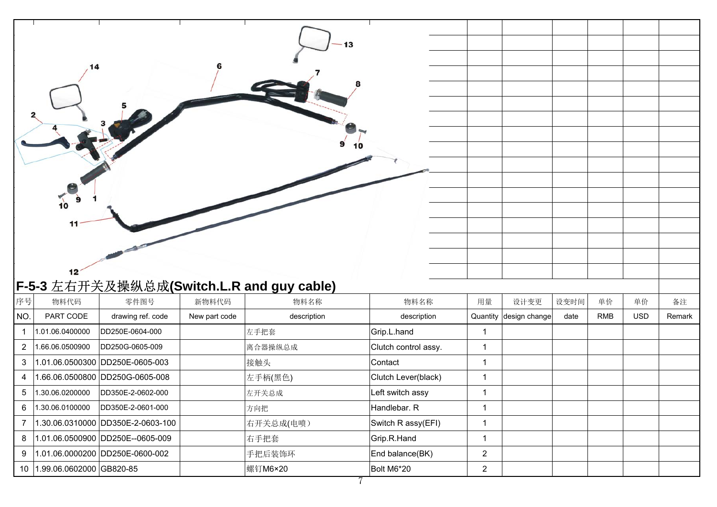|                | 14<br>10<br>11<br>12            |                                   |               | 9                                         | 13<br>10             |                |                        |      |            |            |        |
|----------------|---------------------------------|-----------------------------------|---------------|-------------------------------------------|----------------------|----------------|------------------------|------|------------|------------|--------|
|                |                                 |                                   |               | F-5-3 左右开关及操纵总成(Switch.L.R and guy cable) |                      |                |                        |      |            |            |        |
| 序号             | 物料代码                            | 零件图号                              | 新物料代码         | 物料名称                                      | 物料名称                 | 用量             | 设计变更                   | 设变时间 | 单价         | 单价         | 备注     |
| NO.            | PART CODE                       | drawing ref. code                 | New part code | description                               | description          |                | Quantity design change | date | <b>RMB</b> | <b>USD</b> | Remark |
| $\mathbf{1}$   | 1.01.06.0400000                 | DD250E-0604-000                   |               | 左手把套                                      | Grip.L.hand          | $\mathbf{1}$   |                        |      |            |            |        |
| $\overline{2}$ | 1.66.06.0500900                 | DD250G-0605-009                   |               | 离合器操纵总成                                   | Clutch control assy. | $\mathbf{1}$   |                        |      |            |            |        |
| 3              |                                 | 1.01.06.0500300 DD250E-0605-003   |               | 接触头                                       | Contact              | $\mathbf{1}$   |                        |      |            |            |        |
| 4              |                                 | 1.66.06.0500800 DD250G-0605-008   |               | 左手柄(黑色)                                   | Clutch Lever(black)  | $\mathbf 1$    |                        |      |            |            |        |
| 5              | 1.30.06.0200000                 | DD350E-2-0602-000                 |               | 左开关总成                                     | Left switch assy     | $\mathbf{1}$   |                        |      |            |            |        |
| 6              | 1.30.06.0100000                 | DD350E-2-0601-000                 |               | 方向把                                       | Handlebar. R         | 1              |                        |      |            |            |        |
| $\overline{7}$ |                                 | 1.30.06.0310000 DD350E-2-0603-100 |               | 右开关总成(电喷)                                 | Switch R assy(EFI)   | $\mathbf{1}$   |                        |      |            |            |        |
| 8              |                                 | 1.01.06.0500900 DD250E--0605-009  |               | 右手把套                                      | Grip.R.Hand          | $\mathbf{1}$   |                        |      |            |            |        |
| 9              |                                 | 1.01.06.0000200 DD250E-0600-002   |               | 手把后装饰环                                    | End balance(BK)      | $\overline{2}$ |                        |      |            |            |        |
|                | 10   1.99.06.0602000   GB820-85 |                                   |               | 螺钉M6×20                                   | Bolt M6*20           | $\overline{2}$ |                        |      |            |            |        |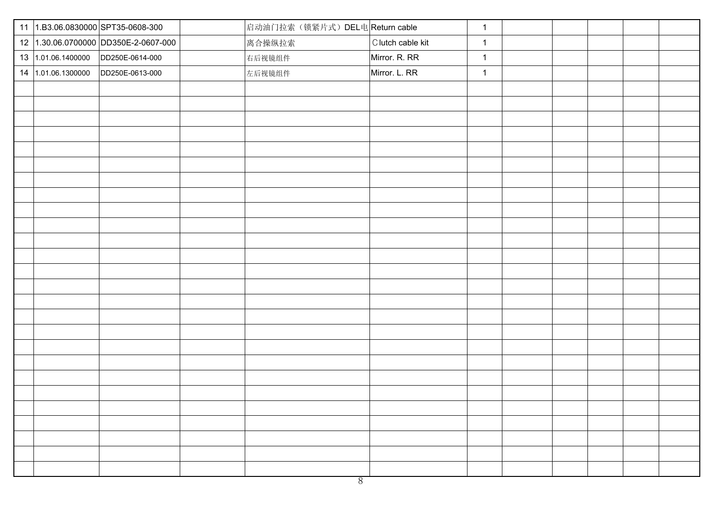|                    | 11 1.B3.06.0830000 SPT35-0608-300    | 启动油门拉索(锁紧片式) DEL电 Return cable |                   | $\mathbf{1}$ |  |  |
|--------------------|--------------------------------------|--------------------------------|-------------------|--------------|--|--|
|                    | 12 1.30.06.0700000 DD350E-2-0607-000 | 离合操纵拉索                         | C lutch cable kit | $\mathbf{1}$ |  |  |
| 13 1.01.06.1400000 | DD250E-0614-000                      | 右后视镜组件                         | Mirror. R. RR     | $\mathbf{1}$ |  |  |
| 14 1.01.06.1300000 | DD250E-0613-000                      | 左后视镜组件                         | Mirror. L. RR     | $\mathbf{1}$ |  |  |
|                    |                                      |                                |                   |              |  |  |
|                    |                                      |                                |                   |              |  |  |
|                    |                                      |                                |                   |              |  |  |
|                    |                                      |                                |                   |              |  |  |
|                    |                                      |                                |                   |              |  |  |
|                    |                                      |                                |                   |              |  |  |
|                    |                                      |                                |                   |              |  |  |
|                    |                                      |                                |                   |              |  |  |
|                    |                                      |                                |                   |              |  |  |
|                    |                                      |                                |                   |              |  |  |
|                    |                                      |                                |                   |              |  |  |
|                    |                                      |                                |                   |              |  |  |
|                    |                                      |                                |                   |              |  |  |
|                    |                                      |                                |                   |              |  |  |
|                    |                                      |                                |                   |              |  |  |
|                    |                                      |                                |                   |              |  |  |
|                    |                                      |                                |                   |              |  |  |
|                    |                                      |                                |                   |              |  |  |
|                    |                                      |                                |                   |              |  |  |
|                    |                                      |                                |                   |              |  |  |
|                    |                                      |                                |                   |              |  |  |
|                    |                                      |                                |                   |              |  |  |
|                    |                                      |                                |                   |              |  |  |
|                    |                                      |                                |                   |              |  |  |
|                    |                                      |                                |                   |              |  |  |
|                    |                                      |                                |                   |              |  |  |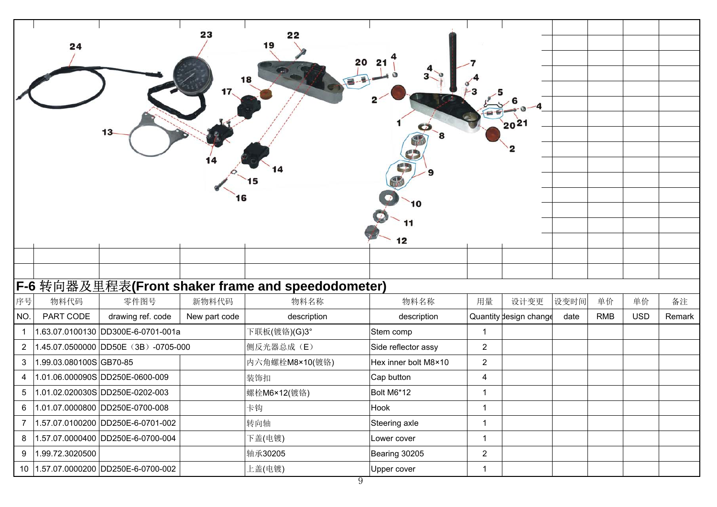|             | 24                     | 23<br>16                                          | 22<br>19<br>18 | 8<br>42<br>10<br>12  |                | $20^{21}$              |      |            |            |        |
|-------------|------------------------|---------------------------------------------------|----------------|----------------------|----------------|------------------------|------|------------|------------|--------|
|             |                        |                                                   |                |                      |                |                        |      |            |            |        |
|             |                        | F-6 转向器及里程表(Front shaker frame and speedodometer) |                |                      |                |                        |      |            |            |        |
| 序号          | 物料代码                   | 零件图号<br>新物料代码                                     | 物料名称           | 物料名称                 | 用量             | 设计变更                   | 设变时间 | 单价         | 单价         | 备注     |
| NO.         | PART CODE              | drawing ref. code<br>New part code                | description    | description          |                | Quantity design change | date | <b>RMB</b> | <b>USD</b> | Remark |
| $\mathbf 1$ |                        | 1.63.07.0100130 DD300E-6-0701-001a                | 下联板(镀铬)(G)3°   | Stem comp            | $\mathbf{1}$   |                        |      |            |            |        |
| $2^{\circ}$ |                        | 1.45.07.0500000 DD50E (3B) -0705-000              | 侧反光器总成(E)      | Side reflector assy  | $\overline{2}$ |                        |      |            |            |        |
| 3           | 1.99.03.080100SGB70-85 |                                                   | 内六角螺栓M8×10(镀铬) | Hex inner bolt M8×10 | $\overline{2}$ |                        |      |            |            |        |
| 4           |                        | 1.01.06.000090S DD250E-0600-009                   | 装饰扣            | Cap button           | 4              |                        |      |            |            |        |
| 5           |                        | 1.01.02.020030S DD250E-0202-003                   | 螺栓M6×12(镀铬)    | Bolt M6*12           | $\mathbf{1}$   |                        |      |            |            |        |
| 6           |                        | 1.01.07.0000800 DD250E-0700-008                   | 卡钩             | Hook                 | $\mathbf{1}$   |                        |      |            |            |        |
|             |                        | 7  1.57.07.0100200  DD250E-6-0701-002             | 转向轴            | Steering axle        | $\mathbf{1}$   |                        |      |            |            |        |
| 8           |                        | 1.57.07.0000400 DD250E-6-0700-004                 | 下盖(电镀)         | Lower cover          | $\mathbf{1}$   |                        |      |            |            |        |
| 9           | 1.99.72.3020500        |                                                   | 轴承30205        | Bearing 30205        | $\overline{2}$ |                        |      |            |            |        |
|             |                        | 10 1.57.07.0000200 DD250E-6-0700-002              | 上盖(电镀)         | Upper cover          | $\mathbf{1}$   |                        |      |            |            |        |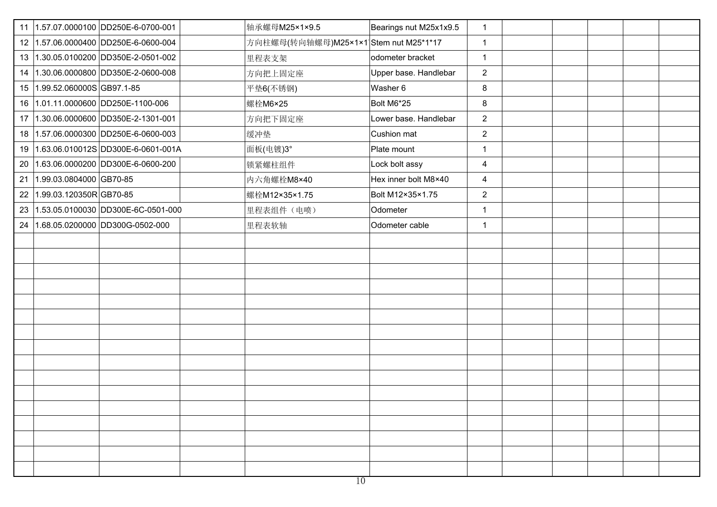|    | 11 1.57.07.0000100 DD250E-6-0700-001  | 轴承螺母M25×1×9.5                         | Bearings nut M25x1x9.5 | $\mathbf{1}$ |  |  |
|----|---------------------------------------|---------------------------------------|------------------------|--------------|--|--|
|    | 12 1.57.06.0000400 DD250E-6-0600-004  | 方向柱螺母(转向轴螺母)M25×1×1 Stem nut M25*1*17 |                        | $\mathbf{1}$ |  |  |
|    | 13 1.30.05.0100200 DD350E-2-0501-002  | 里程表支架                                 | odometer bracket       | $\mathbf{1}$ |  |  |
| 14 | 1.30.06.0000800 DD350E-2-0600-008     | 方向把上固定座                               | Upper base. Handlebar  | 2            |  |  |
|    | 15 1.99.52.060000S GB97.1-85          | 平垫6(不锈钢)                              | Washer 6               | 8            |  |  |
|    | 16 1.01.11.0000600 DD250E-1100-006    | 螺栓M6×25                               | Bolt M6*25             | 8            |  |  |
| 17 | 1.30.06.0000600 DD350E-2-1301-001     | 方向把下固定座                               | Lower base. Handlebar  | 2            |  |  |
|    | 18 1.57.06.0000300 DD250E-6-0600-003  | 缓冲垫                                   | Cushion mat            | 2            |  |  |
|    | 19 1.63.06.010012S DD300E-6-0601-001A | 面板(电镀)3°                              | Plate mount            | $\mathbf 1$  |  |  |
| 20 | 1.63.06.0000200 DD300E-6-0600-200     | 锁紧螺柱组件                                | Lock bolt assy         | 4            |  |  |
| 21 | 1.99.03.0804000 GB70-85               | 内六角螺栓M8×40                            | Hex inner bolt M8×40   | 4            |  |  |
| 22 | 1.99.03.120350R GB70-85               | 螺栓M12×35×1.75                         | Bolt M12×35×1.75       | 2            |  |  |
| 23 | 1.53.05.0100030 DD300E-6C-0501-000    | 里程表组件(电喷)                             | Odometer               | $\mathbf 1$  |  |  |
| 24 | 1.68.05.0200000 DD300G-0502-000       | 里程表软轴                                 | Odometer cable         | $\mathbf{1}$ |  |  |
|    |                                       |                                       |                        |              |  |  |
|    |                                       |                                       |                        |              |  |  |
|    |                                       |                                       |                        |              |  |  |
|    |                                       |                                       |                        |              |  |  |
|    |                                       |                                       |                        |              |  |  |
|    |                                       |                                       |                        |              |  |  |
|    |                                       |                                       |                        |              |  |  |
|    |                                       |                                       |                        |              |  |  |
|    |                                       |                                       |                        |              |  |  |
|    |                                       |                                       |                        |              |  |  |
|    |                                       |                                       |                        |              |  |  |
|    |                                       |                                       |                        |              |  |  |
|    |                                       |                                       |                        |              |  |  |
|    |                                       |                                       |                        |              |  |  |
|    |                                       |                                       |                        |              |  |  |
|    |                                       |                                       |                        |              |  |  |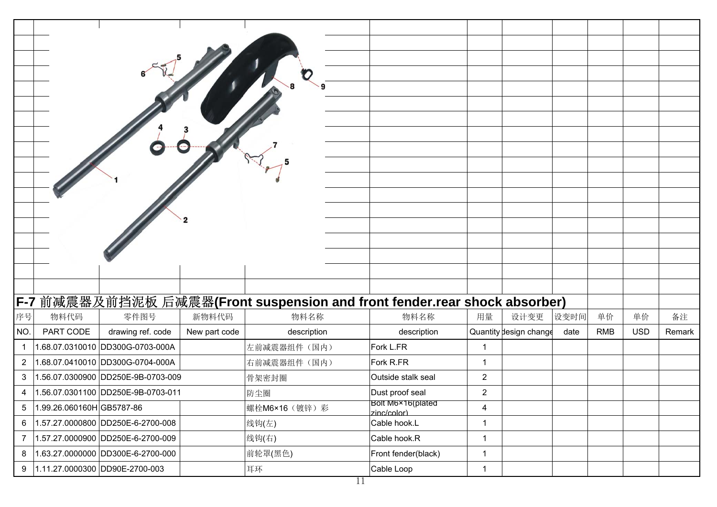|                |                          | F-7 前减震器及前挡泥板 后减震器(Front suspension and front fender.rear shock absorber) |                |                                  |                         |      |            |            |        |
|----------------|--------------------------|---------------------------------------------------------------------------|----------------|----------------------------------|-------------------------|------|------------|------------|--------|
| 序号             | 物料代码                     | 零件图号<br>新物料代码                                                             | 物料名称           | 物料名称                             | 设计变更<br>用量              | 设变时间 | 单价         | 单价         | 备注     |
| NO.            | PART CODE                | drawing ref. code<br>New part code                                        | description    | description                      | Quantity design change  | date | <b>RMB</b> | <b>USD</b> | Remark |
| $\mathbf{1}$   |                          | 1.68.07.0310010 DD300G-0703-000A                                          | 左前减震器组件(国内)    | Fork L.FR                        | $\mathbf{1}$            |      |            |            |        |
| $\overline{2}$ |                          | 1.68.07.0410010 DD300G-0704-000A                                          | 右前减震器组件(国内)    | Fork R.FR                        | $\mathbf{1}$            |      |            |            |        |
| 3              |                          | 1.56.07.0300900 DD250E-9B-0703-009                                        | 骨架密封圈          | Outside stalk seal               | $\overline{2}$          |      |            |            |        |
| 4              |                          | 1.56.07.0301100 DD250E-9B-0703-011                                        | 防尘圈            | Dust proof seal                  | $\overline{2}$          |      |            |            |        |
| $\sqrt{5}$     | 1.99.26.060160HGB5787-86 |                                                                           | 螺栓M6×16 (镀锌) 彩 | Bolt M6×16(plated<br>zinc/color) | $\overline{\mathbf{4}}$ |      |            |            |        |
| 6              |                          | 1.57.27.0000800 DD250E-6-2700-008                                         | 线钩(左)          | Cable hook.L                     | $\mathbf{1}$            |      |            |            |        |
| $\overline{7}$ |                          | 1.57.27.0000900 DD250E-6-2700-009                                         | 线钩(右)          | Cable hook.R                     | $\mathbf{1}$            |      |            |            |        |
| 8              |                          | 1.63.27.0000000 DD300E-6-2700-000                                         | 前轮罩(黑色)        | Front fender(black)              | $\mathbf{1}$            |      |            |            |        |
| 9              |                          | 1.11.27.0000300 DD90E-2700-003                                            | 耳环             | Cable Loop                       | $\mathbf{1}$            |      |            |            |        |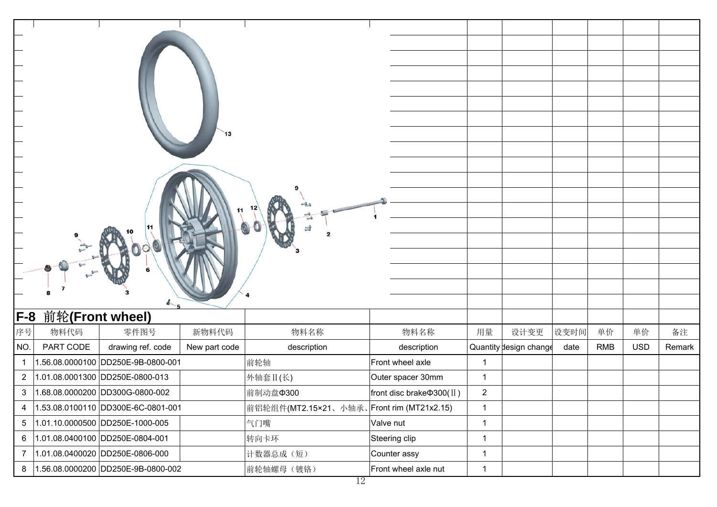| 13                                                     |                                           |                                 |              |                        |      |            |            |        |
|--------------------------------------------------------|-------------------------------------------|---------------------------------|--------------|------------------------|------|------------|------------|--------|
|                                                        |                                           |                                 |              |                        |      |            |            |        |
|                                                        |                                           |                                 |              |                        |      |            |            |        |
|                                                        |                                           |                                 |              |                        |      |            |            |        |
|                                                        |                                           |                                 |              |                        |      |            |            |        |
|                                                        |                                           |                                 |              |                        |      |            |            |        |
|                                                        |                                           |                                 |              |                        |      |            |            |        |
|                                                        |                                           |                                 |              |                        |      |            |            |        |
|                                                        |                                           |                                 |              |                        |      |            |            |        |
|                                                        |                                           |                                 |              |                        |      |            |            |        |
|                                                        |                                           |                                 |              |                        |      |            |            |        |
| 4.5                                                    |                                           |                                 |              |                        |      |            |            |        |
| F-8<br>前轮(Front wheel)                                 |                                           |                                 |              |                        |      |            |            |        |
| 序号<br>物料代码<br>零件图号<br>新物料代码                            | 物料名称                                      | 物料名称                            | 用量           | 设计变更                   | 设变时间 | 单价         | 单价         | 备注     |
| NO.<br>PART CODE<br>drawing ref. code<br>New part code | description                               | description                     |              | Quantity design change | date | <b>RMB</b> | <b>USD</b> | Remark |
| 1.56.08.0000100 DD250E-9B-0800-001<br>$\mathbf{1}$     | 前轮轴                                       | Front wheel axle                | $\mathbf{1}$ |                        |      |            |            |        |
| 1.01.08.0001300 DD250E-0800-013<br>$\overline{2}$      | 外轴套 II(长)                                 | Outer spacer 30mm               | $\mathbf{1}$ |                        |      |            |            |        |
| 1.68.08.0000200 DD300G-0800-002<br>3                   | 前制动盘Φ300                                  | front disc brake $\Phi$ 300(II) | $\mathbf{2}$ |                        |      |            |            |        |
| 1.53.08.0100110 DD300E-6C-0801-001<br>$\overline{4}$   | 前铝轮组件(MT2.15×21、小轴承、Front rim (MT21x2.15) |                                 | $\mathbf{1}$ |                        |      |            |            |        |
| 1.01.10.0000500 DD250E-1000-005<br>$5\phantom{.0}$     | 气门嘴                                       | Valve nut                       | $\mathbf{1}$ |                        |      |            |            |        |
| 1.01.08.0400100 DD250E-0804-001<br>6                   | 转向卡环                                      | Steering clip                   | $\mathbf{1}$ |                        |      |            |            |        |
| $\boldsymbol{7}$<br>1.01.08.0400020 DD250E-0806-000    | 计数器总成(短)                                  | Counter assy                    | $\mathbf{1}$ |                        |      |            |            |        |
| 1.56.08.0000200 DD250E-9B-0800-002<br>8                | 前轮轴螺母 (镀铬)                                | Front wheel axle nut            | $\mathbf{1}$ |                        |      |            |            |        |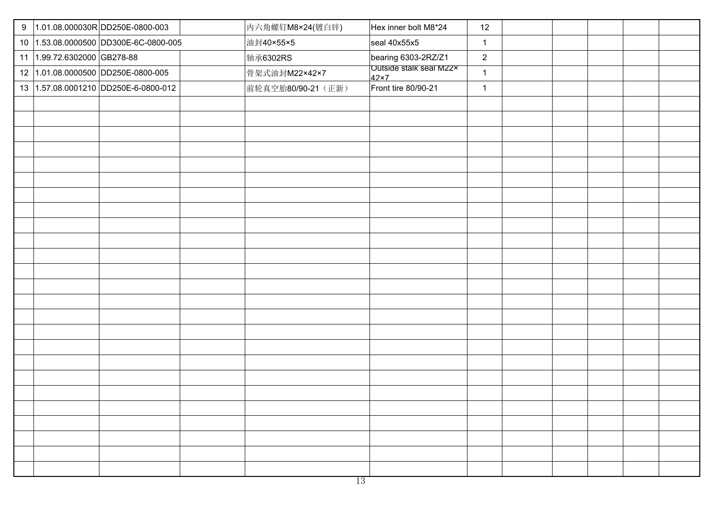|                             | 9  1.01.08.000030R DD250E-0800-003    | 内六角螺钉M8×24(镀白锌)    | Hex inner bolt M8*24                    | 12             |  |  |  |
|-----------------------------|---------------------------------------|--------------------|-----------------------------------------|----------------|--|--|--|
|                             | 10 1.53.08.0000500 DD300E-6C-0800-005 | 油封40×55×5          | seal 40x55x5                            | $\mathbf{1}$   |  |  |  |
| 11 1.99.72.6302000 GB278-88 |                                       | 轴承6302RS           | bearing 6303-2RZ/Z1                     | $\overline{2}$ |  |  |  |
|                             | 12 1.01.08.0000500 DD250E-0800-005    | 骨架式油封M22×42×7      | Outside stalk seal M22x<br>$42\times 7$ | $\mathbf{1}$   |  |  |  |
|                             | 13 1.57.08.0001210 DD250E-6-0800-012  | 前轮真空胎80/90-21 (正新) | Front tire 80/90-21                     | $\mathbf{1}$   |  |  |  |
|                             |                                       |                    |                                         |                |  |  |  |
|                             |                                       |                    |                                         |                |  |  |  |
|                             |                                       |                    |                                         |                |  |  |  |
|                             |                                       |                    |                                         |                |  |  |  |
|                             |                                       |                    |                                         |                |  |  |  |
|                             |                                       |                    |                                         |                |  |  |  |
|                             |                                       |                    |                                         |                |  |  |  |
|                             |                                       |                    |                                         |                |  |  |  |
|                             |                                       |                    |                                         |                |  |  |  |
|                             |                                       |                    |                                         |                |  |  |  |
|                             |                                       |                    |                                         |                |  |  |  |
|                             |                                       |                    |                                         |                |  |  |  |
|                             |                                       |                    |                                         |                |  |  |  |
|                             |                                       |                    |                                         |                |  |  |  |
|                             |                                       |                    |                                         |                |  |  |  |
|                             |                                       |                    |                                         |                |  |  |  |
|                             |                                       |                    |                                         |                |  |  |  |
|                             |                                       |                    |                                         |                |  |  |  |
|                             |                                       |                    |                                         |                |  |  |  |
|                             |                                       |                    |                                         |                |  |  |  |
|                             |                                       |                    |                                         |                |  |  |  |
|                             |                                       |                    |                                         |                |  |  |  |
|                             |                                       |                    |                                         |                |  |  |  |
|                             |                                       |                    |                                         |                |  |  |  |
|                             |                                       |                    |                                         |                |  |  |  |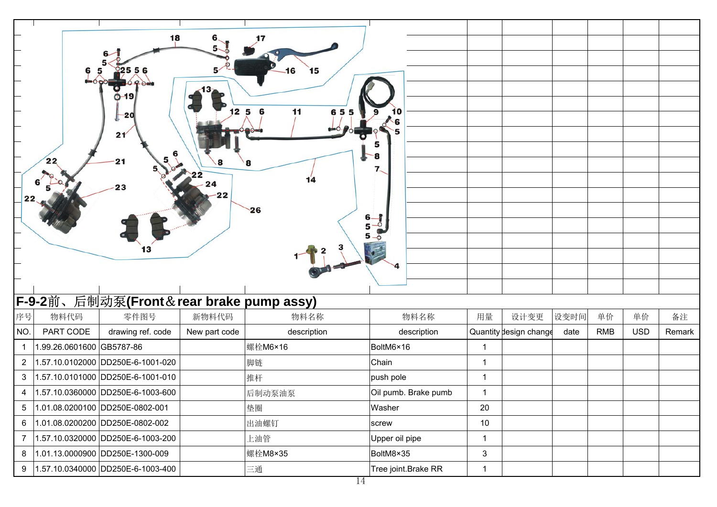| 18                                                  |               |                  |                      |                |                        |      |            |            |        |
|-----------------------------------------------------|---------------|------------------|----------------------|----------------|------------------------|------|------------|------------|--------|
|                                                     |               |                  |                      |                |                        |      |            |            |        |
|                                                     |               | $\bullet$<br>6   |                      |                |                        |      |            |            |        |
|                                                     |               |                  |                      |                |                        |      |            |            |        |
| O-19                                                |               |                  |                      |                |                        |      |            |            |        |
| -20                                                 |               | 1256<br>11<br>65 |                      |                |                        |      |            |            |        |
| 21                                                  |               |                  |                      |                |                        |      |            |            |        |
|                                                     |               |                  |                      |                |                        |      |            |            |        |
| 22                                                  |               | 8                |                      |                |                        |      |            |            |        |
|                                                     |               | 14               |                      |                |                        |      |            |            |        |
| 23<br>22                                            | 22            |                  |                      |                |                        |      |            |            |        |
|                                                     |               | 26               |                      |                |                        |      |            |            |        |
|                                                     |               |                  | $6 -$<br>$5 - 2$     |                |                        |      |            |            |        |
|                                                     |               |                  |                      |                |                        |      |            |            |        |
|                                                     |               |                  |                      |                |                        |      |            |            |        |
|                                                     |               |                  |                      |                |                        |      |            |            |        |
|                                                     |               |                  |                      |                |                        |      |            |            |        |
| F-9-2前、后制动泵(Front&rear brake pump assy)             |               |                  |                      |                |                        |      |            |            |        |
| 序号<br>物料代码<br>零件图号                                  | 新物料代码         | 物料名称             | 物料名称                 | 用量             | 设计变更                   | 设变时间 | 单价         |            |        |
| PART CODE<br>NO.<br>drawing ref. code               |               |                  |                      |                |                        |      |            | 单价         | 备注     |
|                                                     | New part code | description      | description          |                | Quantity design change | date | <b>RMB</b> | <b>USD</b> | Remark |
| 1.99.26.0601600 GB5787-86<br>$\mathbf{1}$           |               | 螺栓M6×16          | BoltM6×16            | $\mathbf{1}$   |                        |      |            |            |        |
| 1.57.10.0102000 DD250E-6-1001-020<br>$\overline{2}$ |               | 脚链               | Chain                | $\mathbf{1}$   |                        |      |            |            |        |
| 1.57.10.0101000 DD250E-6-1001-010<br>3              |               | 推杆               | push pole            | $\mathbf{1}$   |                        |      |            |            |        |
| 1.57.10.0360000 DD250E-6-1003-600<br>4              |               | 后制动泵油泵           | Oil pumb. Brake pumb | $\mathbf{1}$   |                        |      |            |            |        |
| $1.01.08.0200100$ DD250E-0802-001<br>5              |               | 垫圈               | Washer               | 20             |                        |      |            |            |        |
| 1.01.08.0200200 DD250E-0802-002<br>6                |               | 出油螺钉             | screw                | 10             |                        |      |            |            |        |
| 1.57.10.0320000 DD250E-6-1003-200<br>$\overline{7}$ |               | 上油管              | Upper oil pipe       | $\mathbf{1}$   |                        |      |            |            |        |
| 1.01.13.0000900 DD250E-1300-009<br>8                |               | 螺栓M8×35          | BoltM8×35            | $\mathfrak{S}$ |                        |      |            |            |        |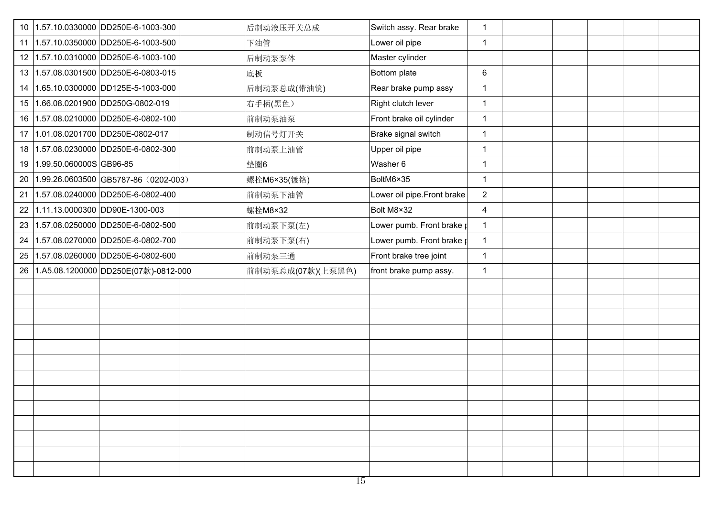| 10              | 1.57.10.0330000 DD250E-6-1003-300       | 后制动液压开关总成         | Switch assy. Rear brake          | $\mathbf{1}$   |  |  |
|-----------------|-----------------------------------------|-------------------|----------------------------------|----------------|--|--|
| 11              | 1.57.10.0350000 DD250E-6-1003-500       | 下油管               | Lower oil pipe                   | $\mathbf{1}$   |  |  |
| 12              | 1.57.10.0310000 DD250E-6-1003-100       | 后制动泵泵体            | Master cylinder                  |                |  |  |
| 13              | 1.57.08.0301500 DD250E-6-0803-015       | 底板                | Bottom plate                     | 6              |  |  |
| 14              | 1.65.10.0300000 DD125E-5-1003-000       | 后制动泵总成(带油镜)       | Rear brake pump assy             | $\mathbf{1}$   |  |  |
| 15              | 1.66.08.0201900 DD250G-0802-019         | 右手柄(黑色)           | Right clutch lever               | $\mathbf{1}$   |  |  |
| 16              | 1.57.08.0210000 DD250E-6-0802-100       | 前制动泵油泵            | Front brake oil cylinder         | $\mathbf{1}$   |  |  |
| 17 <sub>2</sub> | 1.01.08.0201700 DD250E-0802-017         | 制动信号灯开关           | Brake signal switch              | $\mathbf{1}$   |  |  |
| 18              | 1.57.08.0230000 DD250E-6-0802-300       | 前制动泵上油管           | Upper oil pipe                   | $\mathbf 1$    |  |  |
| 19              | 1.99.50.060000S GB96-85                 | 垫圈6               | Washer 6                         | $\overline{1}$ |  |  |
| 20              | 1.99.26.0603500 GB5787-86 (0202-003)    | 螺栓M6×35(镀铬)       | BoltM6×35                        | $\mathbf{1}$   |  |  |
| 21              | 1.57.08.0240000 DD250E-6-0802-400       | 前制动泵下油管           | Lower oil pipe. Front brake      | 2              |  |  |
| 22              | 1.11.13.0000300 DD90E-1300-003          | 螺栓M8×32           | Bolt M8×32                       | $\overline{4}$ |  |  |
| 23              | 1.57.08.0250000 DD250E-6-0802-500       | 前制动泵下泵(左)         | Lower pumb. Front brake $\sharp$ | $\mathbf{1}$   |  |  |
| 24              | 1.57.08.0270000 DD250E-6-0802-700       | 前制动泵下泵(右)         | Lower pumb. Front brake $\sharp$ | $\mathbf{1}$   |  |  |
| 25              | 1.57.08.0260000 DD250E-6-0802-600       | 前制动泵三通            | Front brake tree joint           | $\mathbf{1}$   |  |  |
|                 | 26 1.A5.08.1200000 DD250E(07款)-0812-000 | 前制动泵总成(07款)(上泵黑色) | front brake pump assy.           | $\mathbf{1}$   |  |  |
|                 |                                         |                   |                                  |                |  |  |
|                 |                                         |                   |                                  |                |  |  |
|                 |                                         |                   |                                  |                |  |  |
|                 |                                         |                   |                                  |                |  |  |
|                 |                                         |                   |                                  |                |  |  |
|                 |                                         |                   |                                  |                |  |  |
|                 |                                         |                   |                                  |                |  |  |
|                 |                                         |                   |                                  |                |  |  |
|                 |                                         |                   |                                  |                |  |  |
|                 |                                         |                   |                                  |                |  |  |
|                 |                                         |                   |                                  |                |  |  |
|                 |                                         |                   |                                  |                |  |  |
|                 |                                         |                   |                                  |                |  |  |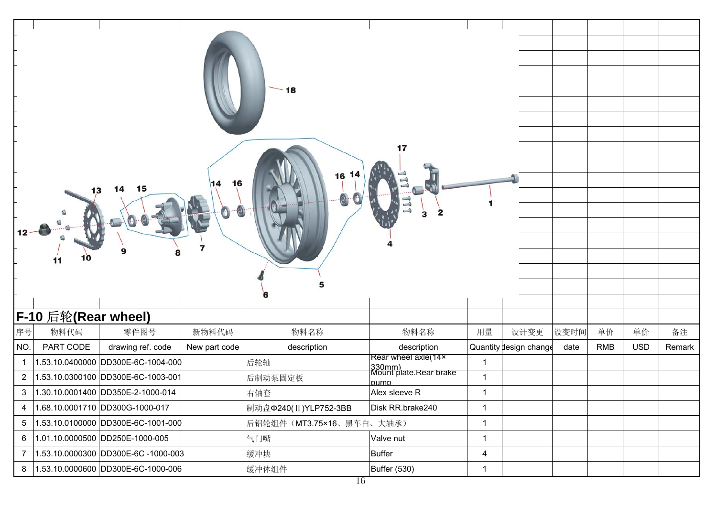| $-18$<br>17<br>16<br>16<br>14<br>15<br>14<br>13<br>з<br>$-12$<br>11 |                           |                                          |                        |              |            |            |        |  |  |  |
|---------------------------------------------------------------------|---------------------------|------------------------------------------|------------------------|--------------|------------|------------|--------|--|--|--|
| <b>F-10 后轮(Rear wheel)</b>                                          |                           |                                          |                        |              |            |            |        |  |  |  |
| 序号<br>物料代码<br>零件图号<br>新物料代码                                         | 物料名称                      | 物料名称                                     | 用量                     | 设变时间<br>设计变更 | 单价         | 单价         | 备注     |  |  |  |
| PART CODE<br>NO.<br>drawing ref. code<br>New part code              | description               | description                              | Quantity design change | date         | <b>RMB</b> | <b>USD</b> | Remark |  |  |  |
| 1.53.10.0400000 DD300E-6C-1004-000<br>$\mathbf{1}$                  | 后轮轴                       | Rear wheel axle(14x                      | $\mathbf{1}$           |              |            |            |        |  |  |  |
| 1.53.10.0300100 DD300E-6C-1003-001<br>$\overline{2}$                | 后制动泵固定板                   | 330mm)<br>Mount plate.Rear brake<br>numn | $\mathbf{1}$           |              |            |            |        |  |  |  |
| 1.30.10.0001400 DD350E-2-1000-014<br>3                              | 右轴套                       | Alex sleeve R                            | $\mathbf{1}$           |              |            |            |        |  |  |  |
| 1.68.10.0001710 DD300G-1000-017<br>$\overline{4}$                   | 制动盘Φ240(II)YLP752-3BB     | Disk RR.brake240                         | $\mathbf{1}$           |              |            |            |        |  |  |  |
| 1.53.10.0100000 DD300E-6C-1001-000<br>5                             | 后铝轮组件 (MT3.75×16、黑车白、大轴承) |                                          | $\mathbf{1}$           |              |            |            |        |  |  |  |
| 1.01.10.0000500 DD250E-1000-005<br>6                                | 气门嘴                       | Valve nut                                | $\mathbf{1}$           |              |            |            |        |  |  |  |
| 1.53.10.0000300 DD300E-6C -1000-003<br>$\overline{7}$               | 缓冲块                       | <b>Buffer</b>                            | $\overline{4}$         |              |            |            |        |  |  |  |
| 1.53.10.0000600 DD300E-6C-1000-006<br>8                             | 缓冲体组件                     | Buffer (530)                             | $\mathbf{1}$           |              |            |            |        |  |  |  |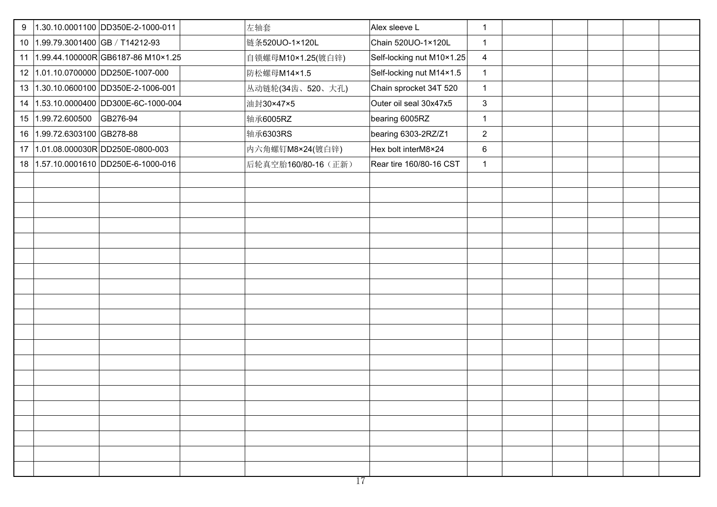| 9 |                                   | 1.30.10.0001100 DD350E-2-1000-011     | 左轴套                 | Alex sleeve L             | $\mathbf{1}$   |  |  |
|---|-----------------------------------|---------------------------------------|---------------------|---------------------------|----------------|--|--|
|   | 10 1.99.79.3001400 GB / T14212-93 |                                       | 链条520UO-1×120L      | Chain 520UO-1×120L        | $\mathbf{1}$   |  |  |
|   |                                   | 11 1.99.44.100000R GB6187-86 M10×1.25 | 自锁螺母M10×1.25(镀白锌)   | Self-locking nut M10×1.25 | $\overline{4}$ |  |  |
|   |                                   | 12 1.01.10.0700000 DD250E-1007-000    | 防松螺母M14×1.5         | Self-locking nut M14×1.5  | $\mathbf{1}$   |  |  |
|   |                                   | 13 1.30.10.0600100 DD350E-2-1006-001  | 丛动链轮(34齿、520、大孔)    | Chain sprocket 34T 520    | $\mathbf{1}$   |  |  |
|   |                                   | 14 1.53.10.0000400 DD300E-6C-1000-004 | 油封30×47×5           | Outer oil seal 30x47x5    | $\mathbf{3}$   |  |  |
|   | 15 1.99.72.600500 GB276-94        |                                       | 轴承6005RZ            | bearing 6005RZ            | $\mathbf{1}$   |  |  |
|   | 16 1.99.72.6303100 GB278-88       |                                       | 轴承6303RS            | bearing 6303-2RZ/Z1       | 2              |  |  |
|   |                                   | 17 1.01.08.000030R DD250E-0800-003    | 内六角螺钉M8×24(镀白锌)     | Hex bolt interM8×24       | 6              |  |  |
|   |                                   | 18 1.57.10.0001610 DD250E-6-1000-016  | 后轮真空胎160/80-16 (正新) | Rear tire 160/80-16 CST   | $\mathbf{1}$   |  |  |
|   |                                   |                                       |                     |                           |                |  |  |
|   |                                   |                                       |                     |                           |                |  |  |
|   |                                   |                                       |                     |                           |                |  |  |
|   |                                   |                                       |                     |                           |                |  |  |
|   |                                   |                                       |                     |                           |                |  |  |
|   |                                   |                                       |                     |                           |                |  |  |
|   |                                   |                                       |                     |                           |                |  |  |
|   |                                   |                                       |                     |                           |                |  |  |
|   |                                   |                                       |                     |                           |                |  |  |
|   |                                   |                                       |                     |                           |                |  |  |
|   |                                   |                                       |                     |                           |                |  |  |
|   |                                   |                                       |                     |                           |                |  |  |
|   |                                   |                                       |                     |                           |                |  |  |
|   |                                   |                                       |                     |                           |                |  |  |
|   |                                   |                                       |                     |                           |                |  |  |
|   |                                   |                                       |                     |                           |                |  |  |
|   |                                   |                                       |                     |                           |                |  |  |
|   |                                   |                                       |                     |                           |                |  |  |
|   |                                   |                                       |                     |                           |                |  |  |
|   |                                   |                                       |                     |                           |                |  |  |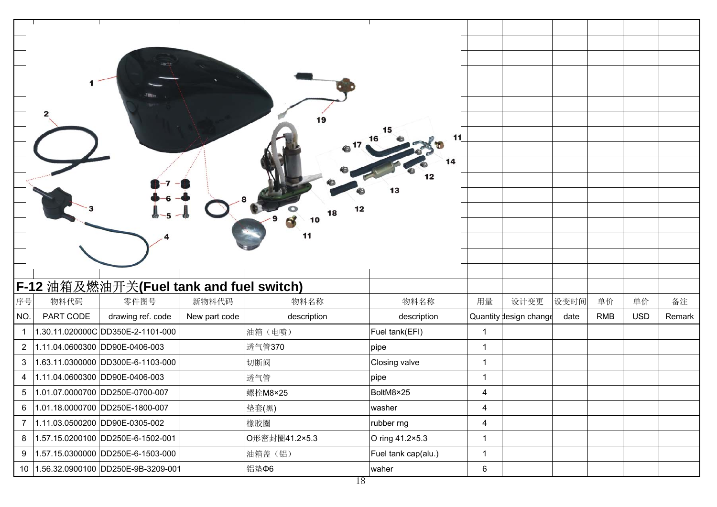|                |                                |                                         |               |               | 15<br>11<br>16      |                |                        |      |            |            |        |
|----------------|--------------------------------|-----------------------------------------|---------------|---------------|---------------------|----------------|------------------------|------|------------|------------|--------|
|                |                                |                                         |               |               |                     |                |                        |      |            |            |        |
|                |                                |                                         |               |               | 14                  |                |                        |      |            |            |        |
|                |                                |                                         |               |               |                     |                |                        |      |            |            |        |
|                |                                |                                         |               |               | 13                  |                |                        |      |            |            |        |
|                |                                |                                         |               | 12            |                     |                |                        |      |            |            |        |
|                |                                |                                         |               |               |                     |                |                        |      |            |            |        |
|                |                                |                                         |               | 11            |                     |                |                        |      |            |            |        |
|                |                                |                                         |               |               |                     |                |                        |      |            |            |        |
|                |                                |                                         |               |               |                     |                |                        |      |            |            |        |
|                |                                | F-12 油箱及燃油开关(Fuel tank and fuel switch) |               |               |                     |                |                        |      |            |            |        |
| 序号             | 物料代码                           | 零件图号                                    | 新物料代码         | 物料名称          | 物料名称                | 用量             | 设计变更                   | 设变时间 | 单价         | 单价         | 备注     |
| NO.            | PART CODE                      | drawing ref. code                       | New part code | description   | description         |                | Quantity design change | date | <b>RMB</b> | <b>USD</b> | Remark |
| $\mathbf{1}$   |                                | 1.30.11.020000C DD350E-2-1101-000       |               | 油箱(电喷)        | Fuel tank(EFI)      | $\overline{1}$ |                        |      |            |            |        |
| 2 <sup>1</sup> | 1.11.04.0600300 DD90E-0406-003 |                                         |               |               |                     |                |                        |      |            |            |        |
|                |                                |                                         |               | 透气管370        | pipe                | $\mathbf{1}$   |                        |      |            |            |        |
| 3              |                                | 1.63.11.0300000 DD300E-6-1103-000       |               | 切断阀           | Closing valve       | $\overline{1}$ |                        |      |            |            |        |
| $\overline{4}$ | 1.11.04.0600300 DD90E-0406-003 |                                         |               | 透气管           | pipe                | $\mathbf{1}$   |                        |      |            |            |        |
| 5              |                                | 1.01.07.0000700 DD250E-0700-007         |               | 螺栓M8×25       | BoltM8×25           | 4              |                        |      |            |            |        |
| 6              |                                | 1.01.18.0000700 DD250E-1800-007         |               | 垫套(黑)         | washer              | $\overline{4}$ |                        |      |            |            |        |
| $\overline{7}$ |                                | 1.11.03.0500200 DD90E-0305-002          |               | 橡胶圈           | rubber rng          | 4              |                        |      |            |            |        |
| 8              |                                | 1.57.15.0200100 DD250E-6-1502-001       |               | O形密封圈41.2×5.3 | O ring 41.2×5.3     | $\mathbf{1}$   |                        |      |            |            |        |
| 9              |                                | 1.57.15.0300000 DD250E-6-1503-000       |               | 油箱盖(铝)        | Fuel tank cap(alu.) | $\mathbf{1}$   |                        |      |            |            |        |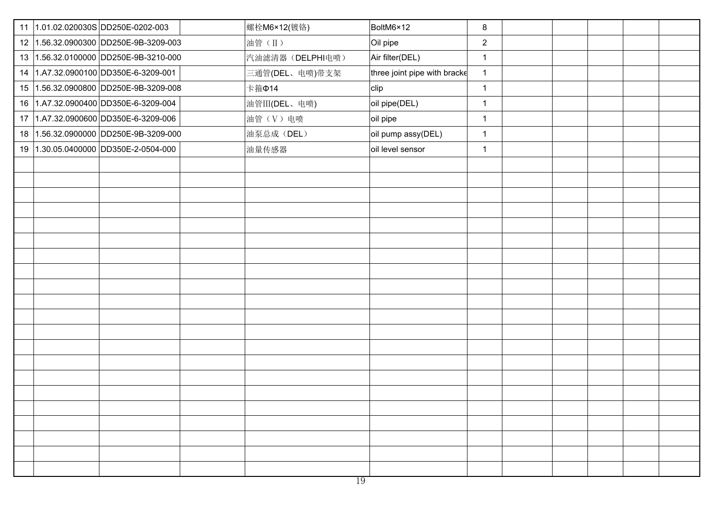|  | 11 1.01.02.020030S DD250E-0202-003    | 螺栓M6×12(镀铬)      | BoltM6×12                    | 8              |  |  |
|--|---------------------------------------|------------------|------------------------------|----------------|--|--|
|  | 12 1.56.32.0900300 DD250E-9B-3209-003 | 油管(II)           | Oil pipe                     | $\overline{2}$ |  |  |
|  | 13 1.56.32.0100000 DD250E-9B-3210-000 | 汽油滤清器 (DELPHI电喷) | Air filter(DEL)              | $\mathbf{1}$   |  |  |
|  | 14 1.A7.32.0900100 DD350E-6-3209-001  | 三通管(DEL、电喷)带支架   | three joint pipe with bracke | $\mathbf{1}$   |  |  |
|  | 15 1.56.32.0900800 DD250E-9B-3209-008 | 卡箍Φ14            | clip                         | $\mathbf{1}$   |  |  |
|  | 16 1.A7.32.0900400 DD350E-6-3209-004  | 油管III(DEL、电喷)    | oil pipe(DEL)                | $\mathbf{1}$   |  |  |
|  | 17 1.A7.32.0900600 DD350E-6-3209-006  | 油管(V)电喷          | oil pipe                     | $\overline{1}$ |  |  |
|  | 18 1.56.32.0900000 DD250E-9B-3209-000 | 油泵总成(DEL)        | oil pump assy(DEL)           | $\mathbf{1}$   |  |  |
|  | 19 1.30.05.0400000 DD350E-2-0504-000  | 油量传感器            | oil level sensor             | $\mathbf{1}$   |  |  |
|  |                                       |                  |                              |                |  |  |
|  |                                       |                  |                              |                |  |  |
|  |                                       |                  |                              |                |  |  |
|  |                                       |                  |                              |                |  |  |
|  |                                       |                  |                              |                |  |  |
|  |                                       |                  |                              |                |  |  |
|  |                                       |                  |                              |                |  |  |
|  |                                       |                  |                              |                |  |  |
|  |                                       |                  |                              |                |  |  |
|  |                                       |                  |                              |                |  |  |
|  |                                       |                  |                              |                |  |  |
|  |                                       |                  |                              |                |  |  |
|  |                                       |                  |                              |                |  |  |
|  |                                       |                  |                              |                |  |  |
|  |                                       |                  |                              |                |  |  |
|  |                                       |                  |                              |                |  |  |
|  |                                       |                  |                              |                |  |  |
|  |                                       |                  |                              |                |  |  |
|  |                                       |                  |                              |                |  |  |
|  |                                       |                  |                              |                |  |  |
|  |                                       |                  |                              |                |  |  |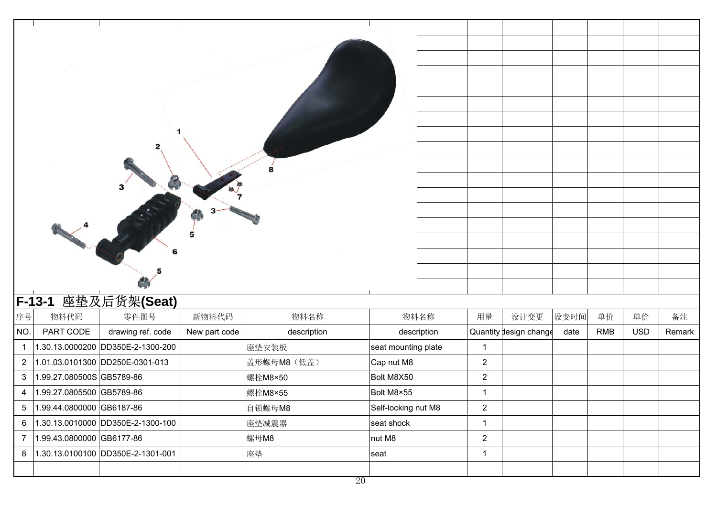|                | <b>F-13-1</b>                | 座垫及后货架(Seat)                      |               |             |                     |                |                        |      |            |            |        |
|----------------|------------------------------|-----------------------------------|---------------|-------------|---------------------|----------------|------------------------|------|------------|------------|--------|
| 序号             | 物料代码                         | 零件图号                              | 新物料代码         | 物料名称        | 物料名称                | 用量             | 设计变更                   | 设变时间 | 单价         | 单价         | 备注     |
| NO.            | PART CODE                    | drawing ref. code                 | New part code | description | description         |                | Quantity design change | date | <b>RMB</b> | <b>USD</b> | Remark |
| $\mathbf{1}$   |                              | 1.30.13.0000200 DD350E-2-1300-200 |               | 座垫安装板       | seat mounting plate | $\overline{1}$ |                        |      |            |            |        |
| $\overline{2}$ |                              | 1.01.03.0101300 DD250E-0301-013   |               | 盖形螺母M8 (低盖) | Cap nut M8          | $\sqrt{2}$     |                        |      |            |            |        |
| $\mathbf{3}$   | 1.99.27.080500S GB5789-86    |                                   |               | 螺栓M8×50     | Bolt M8X50          | $\overline{2}$ |                        |      |            |            |        |
| 4              | 1.99.27.0805500 GB5789-86    |                                   |               | 螺栓M8×55     | Bolt M8×55          | $\overline{1}$ |                        |      |            |            |        |
|                | 5  1.99.44.0800000 GB6187-86 |                                   |               | 自锁螺母M8      | Self-locking nut M8 | $\overline{2}$ |                        |      |            |            |        |
| 6              |                              | 1.30.13.0010000 DD350E-2-1300-100 |               | 座垫减震器       | seat shock          | $\mathbf{1}$   |                        |      |            |            |        |
| $\overline{7}$ | 1.99.43.0800000 GB6177-86    |                                   |               | 螺母M8        | nut M8              | $\sqrt{2}$     |                        |      |            |            |        |
| 8              |                              | 1.30.13.0100100 DD350E-2-1301-001 | 座垫            |             | seat                | $\overline{1}$ |                        |      |            |            |        |
|                |                              |                                   |               |             |                     |                |                        |      |            |            |        |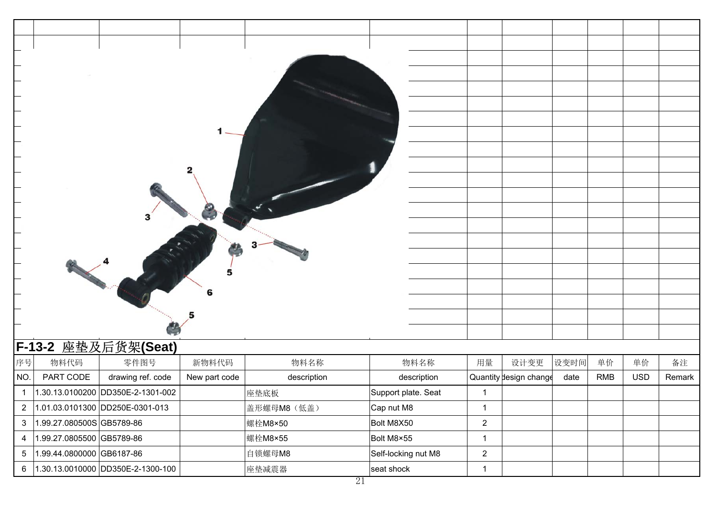|                         |                           | 3                                 |               |             |                     |                        |      |            |            |        |
|-------------------------|---------------------------|-----------------------------------|---------------|-------------|---------------------|------------------------|------|------------|------------|--------|
|                         |                           |                                   |               |             |                     |                        |      |            |            |        |
|                         |                           |                                   |               |             |                     |                        |      |            |            |        |
|                         |                           |                                   |               |             |                     |                        |      |            |            |        |
|                         |                           |                                   |               |             |                     |                        |      |            |            |        |
|                         |                           |                                   | 6             |             |                     |                        |      |            |            |        |
|                         |                           |                                   |               |             |                     |                        |      |            |            |        |
|                         |                           |                                   |               |             |                     |                        |      |            |            |        |
|                         |                           | F-13-2 座垫及后货架(Seat)               |               |             |                     |                        |      |            |            |        |
| 序号                      | 物料代码                      | 零件图号                              | 新物料代码         | 物料名称        | 物料名称                | 用量<br>设计变更             | 设变时间 | 单价         | 单价         | 备注     |
| NO.                     | PART CODE                 | drawing ref. code                 | New part code | description | description         | Quantity design change | date | <b>RMB</b> | <b>USD</b> | Remark |
| $\mathbf{1}$            |                           | 1.30.13.0100200 DD350E-2-1301-002 |               | 座垫底板        | Support plate. Seat | -1                     |      |            |            |        |
| $\overline{a}$          |                           | 1.01.03.0101300 DD250E-0301-013   |               | 盖形螺母M8 (低盖) | Cap nut M8          | $\mathbf{1}$           |      |            |            |        |
| $\mathbf{3}$            | 1.99.27.080500S GB5789-86 |                                   |               | 螺栓M8×50     | Bolt M8X50          | $\overline{2}$         |      |            |            |        |
| $\overline{\mathbf{4}}$ | 1.99.27.0805500 GB5789-86 |                                   |               | 螺栓M8×55     | Bolt M8×55          | $\mathbf{1}$           |      |            |            |        |
| $\sqrt{5}$              | 1.99.44.0800000 GB6187-86 |                                   |               | 自锁螺母M8      | Self-locking nut M8 | $\overline{2}$         |      |            |            |        |
| 6                       |                           | 1.30.13.0010000 DD350E-2-1300-100 |               | 座垫减震器       | seat shock          | $\mathbf{1}$           |      |            |            |        |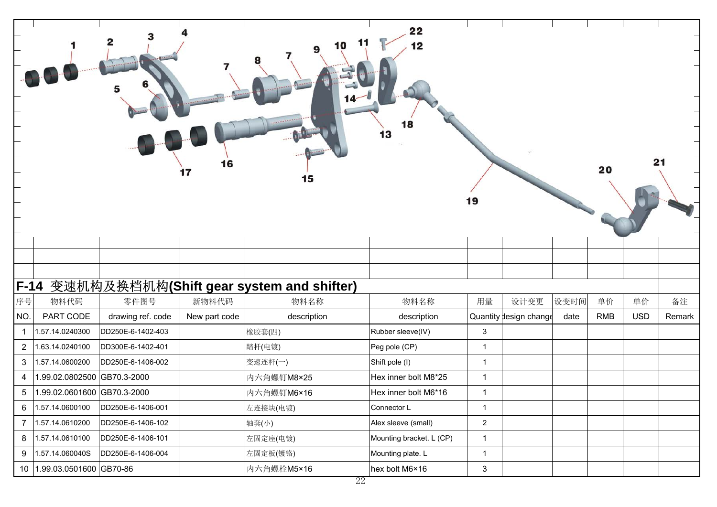|                |                             |                   | 16<br>17      | 10<br>9<br>15                            | 22<br>11<br>12<br>18<br>13 | 19             |                        |      | 20         |            | 21     |
|----------------|-----------------------------|-------------------|---------------|------------------------------------------|----------------------------|----------------|------------------------|------|------------|------------|--------|
|                |                             |                   |               |                                          |                            |                |                        |      |            |            |        |
|                |                             |                   |               |                                          |                            |                |                        |      |            |            |        |
| <b>F-14</b>    |                             |                   |               | 变速机构及换档机构(Shift gear system and shifter) |                            |                |                        |      |            |            |        |
| 序号             | 物料代码                        | 零件图号              | 新物料代码         | 物料名称                                     | 物料名称                       | 用量             | 设计变更                   | 设变时间 | 单价         | 单价         | 备注     |
| NO.            | PART CODE                   | drawing ref. code | New part code | description                              | description                |                | Quantity design change | date | <b>RMB</b> | <b>USD</b> | Remark |
| $\mathbf 1$    | 1.57.14.0240300             | DD250E-6-1402-403 |               | 橡胶套(四)                                   | Rubber sleeve(IV)          | $\mathbf{3}$   |                        |      |            |            |        |
| $\overline{2}$ | 1.63.14.0240100             | DD300E-6-1402-401 |               | 踏杆(电镀)                                   | Peg pole (CP)              | $\mathbf{1}$   |                        |      |            |            |        |
| 3              | 1.57.14.0600200             | DD250E-6-1406-002 |               | 变速连杆(一)                                  | Shift pole (I)             | $\mathbf{1}$   |                        |      |            |            |        |
| 4              | 1.99.02.0802500 GB70.3-2000 |                   |               | 内六角螺钉M8×25                               | Hex inner bolt M8*25       | $\mathbf{1}$   |                        |      |            |            |        |
| 5              | 1.99.02.0601600 GB70.3-2000 |                   |               | 内六角螺钉M6×16                               | Hex inner bolt M6*16       | $\mathbf{1}$   |                        |      |            |            |        |
| 6              | 1.57.14.0600100             | DD250E-6-1406-001 |               | 左连接块(电镀)                                 | Connector L                | $\mathbf{1}$   |                        |      |            |            |        |
| $\overline{7}$ | 1.57.14.0610200             | DD250E-6-1406-102 |               | 轴套(小)                                    | Alex sleeve (small)        | $\overline{2}$ |                        |      |            |            |        |
| 8              | 1.57.14.0610100             | DD250E-6-1406-101 |               | 左固定座(电镀)                                 | Mounting bracket. L (CP)   | $\mathbf{1}$   |                        |      |            |            |        |
| 9              | 1.57.14.060040S             | DD250E-6-1406-004 |               | 左固定板(镀铬)                                 | Mounting plate. L          | $\mathbf{1}$   |                        |      |            |            |        |
|                | 10 1.99.03.0501600 GB70-86  |                   |               | 内六角螺栓M5×16                               | hex bolt M6×16             | $\mathfrak{S}$ |                        |      |            |            |        |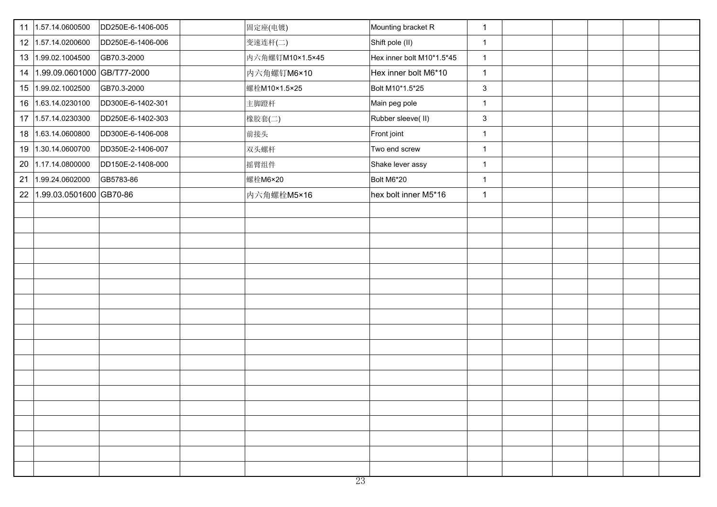|    | 11 1.57.14.0600500<br>DD250E-6-1406-005 | 固定座(电镀)         | Mounting bracket R        | $\mathbf{1}$ |  |  |
|----|-----------------------------------------|-----------------|---------------------------|--------------|--|--|
|    | 12 1.57.14.0200600<br>DD250E-6-1406-006 | 变速连杆(二)         | Shift pole (II)           | $\mathbf{1}$ |  |  |
|    | 13 1.99.02.1004500<br>GB70.3-2000       | 内六角螺钉M10×1.5×45 | Hex inner bolt M10*1.5*45 | $\mathbf{1}$ |  |  |
| 14 | 1.99.09.0601000 GB/T77-2000             | 内六角螺钉M6×10      | Hex inner bolt M6*10      | $\mathbf{1}$ |  |  |
|    | 15 1.99.02.1002500<br>GB70.3-2000       | 螺栓M10×1.5×25    | Bolt M10*1.5*25           | $\mathbf{3}$ |  |  |
|    | 16 1.63.14.0230100<br>DD300E-6-1402-301 | 主脚蹬杆            | Main peg pole             | $\mathbf{1}$ |  |  |
|    | 17 1.57.14.0230300<br>DD250E-6-1402-303 | 橡胶套(二)          | Rubber sleeve(II)         | $\mathbf{3}$ |  |  |
|    | 18 1.63.14.0600800<br>DD300E-6-1406-008 | 前接头             | Front joint               | $\mathbf{1}$ |  |  |
|    | 19 1.30.14.0600700<br>DD350E-2-1406-007 | 双头螺杆            | Two end screw             | $\mathbf{1}$ |  |  |
|    | 20 1.17.14.0800000<br>DD150E-2-1408-000 | 摇臂组件            | Shake lever assy          | $\mathbf{1}$ |  |  |
|    | 21 1.99.24.0602000<br>GB5783-86         | 螺栓M6×20         | Bolt M6*20                | $\mathbf{1}$ |  |  |
| 22 | 1.99.03.0501600 GB70-86                 | 内六角螺栓M5×16      | hex bolt inner M5*16      | $\mathbf{1}$ |  |  |
|    |                                         |                 |                           |              |  |  |
|    |                                         |                 |                           |              |  |  |
|    |                                         |                 |                           |              |  |  |
|    |                                         |                 |                           |              |  |  |
|    |                                         |                 |                           |              |  |  |
|    |                                         |                 |                           |              |  |  |
|    |                                         |                 |                           |              |  |  |
|    |                                         |                 |                           |              |  |  |
|    |                                         |                 |                           |              |  |  |
|    |                                         |                 |                           |              |  |  |
|    |                                         |                 |                           |              |  |  |
|    |                                         |                 |                           |              |  |  |
|    |                                         |                 |                           |              |  |  |
|    |                                         |                 |                           |              |  |  |
|    |                                         |                 |                           |              |  |  |
|    |                                         |                 |                           |              |  |  |
|    |                                         |                 |                           |              |  |  |
|    |                                         |                 |                           |              |  |  |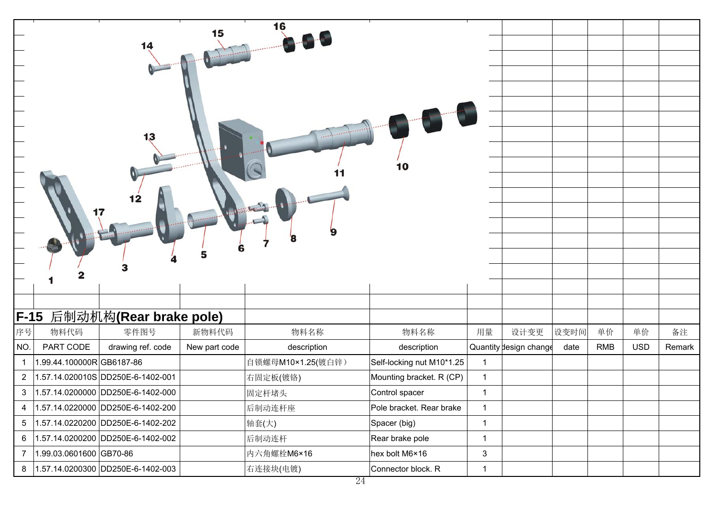|                | 17                       |                                   |               |                   |                           |              |                        |      |            |            |        |
|----------------|--------------------------|-----------------------------------|---------------|-------------------|---------------------------|--------------|------------------------|------|------------|------------|--------|
|                |                          |                                   |               |                   |                           |              |                        |      |            |            |        |
|                |                          | F-15 后制动机构(Rear brake pole)       |               |                   |                           |              |                        |      |            |            |        |
| 序号             | 物料代码                     | 零件图号                              | 新物料代码         | 物料名称              | 物料名称                      | 用量           | 设计变更                   | 设变时间 | 单价         | 单价         | 备注     |
| NO.            | PART CODE                | drawing ref. code                 | New part code | description       | description               |              | Quantity design change | date | <b>RMB</b> | <b>USD</b> | Remark |
| $\mathbf{1}$   | 1.99.44.100000RGB6187-86 |                                   |               | 自锁螺母M10×1.25(镀白锌) | Self-locking nut M10*1.25 | $\mathbf{1}$ |                        |      |            |            |        |
| $\overline{2}$ |                          | 1.57.14.020010S DD250E-6-1402-001 |               | 右固定板(镀铬)          | Mounting bracket. R (CP)  | $\mathbf{1}$ |                        |      |            |            |        |
| 3              |                          | 1.57.14.0200000 DD250E-6-1402-000 |               | 固定杆堵头             | Control spacer            | $\mathbf{1}$ |                        |      |            |            |        |
| 4              |                          | 1.57.14.0220000 DD250E-6-1402-200 |               | 后制动连杆座            | Pole bracket. Rear brake  | $\mathbf{1}$ |                        |      |            |            |        |
| 5              |                          | 1.57.14.0220200 DD250E-6-1402-202 |               | 轴套(大)             | Spacer (big)              | $\mathbf{1}$ |                        |      |            |            |        |
| 6              |                          | 1.57.14.0200200 DD250E-6-1402-002 |               | 后制动连杆             | Rear brake pole           | $\mathbf{1}$ |                        |      |            |            |        |
| $\overline{7}$ | 1.99.03.0601600 GB70-86  |                                   |               | 内六角螺栓M6×16        | hex bolt M6×16            | 3            |                        |      |            |            |        |
| 8              |                          | 1.57.14.0200300 DD250E-6-1402-003 |               | 右连接块(电镀)          | Connector block. R        | $\mathbf{1}$ |                        |      |            |            |        |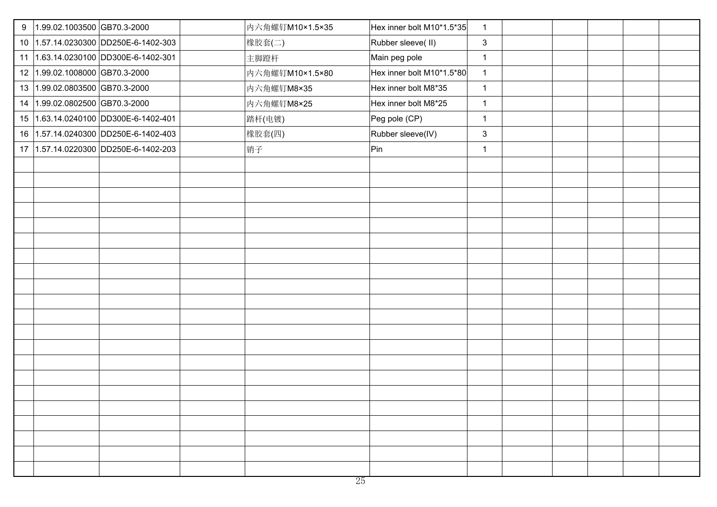| 9 | 1.99.02.1003500 GB70.3-2000          | 内六角螺钉M10×1.5×35 | Hex inner bolt M10*1.5*35<br>$\mathbf{1}$ |  |  |
|---|--------------------------------------|-----------------|-------------------------------------------|--|--|
|   | 10 1.57.14.0230300 DD250E-6-1402-303 | 橡胶套(二)          | $\mathbf{3}$<br>Rubber sleeve(II)         |  |  |
|   | 11 1.63.14.0230100 DD300E-6-1402-301 | 主脚蹬杆            | Main peg pole<br>$\mathbf{1}$             |  |  |
|   | 12 1.99.02.1008000 GB70.3-2000       | 内六角螺钉M10×1.5×80 | Hex inner bolt M10*1.5*80<br>$\mathbf{1}$ |  |  |
|   | 13 1.99.02.0803500 GB70.3-2000       | 内六角螺钉M8×35      | Hex inner bolt M8*35<br>$\mathbf{1}$      |  |  |
|   | 14 1.99.02.0802500 GB70.3-2000       | 内六角螺钉M8×25      | Hex inner bolt M8*25<br>$\mathbf{1}$      |  |  |
|   | 15 1.63.14.0240100 DD300E-6-1402-401 | 踏杆(电镀)          | Peg pole (CP)<br>$\mathbf{1}$             |  |  |
|   |                                      | 橡胶套(四)          | Rubber sleeve(IV)<br>$\mathbf{3}$         |  |  |
|   | 17 1.57.14.0220300 DD250E-6-1402-203 | 销子              | Pin<br>$\mathbf{1}$                       |  |  |
|   |                                      |                 |                                           |  |  |
|   |                                      |                 |                                           |  |  |
|   |                                      |                 |                                           |  |  |
|   |                                      |                 |                                           |  |  |
|   |                                      |                 |                                           |  |  |
|   |                                      |                 |                                           |  |  |
|   |                                      |                 |                                           |  |  |
|   |                                      |                 |                                           |  |  |
|   |                                      |                 |                                           |  |  |
|   |                                      |                 |                                           |  |  |
|   |                                      |                 |                                           |  |  |
|   |                                      |                 |                                           |  |  |
|   |                                      |                 |                                           |  |  |
|   |                                      |                 |                                           |  |  |
|   |                                      |                 |                                           |  |  |
|   |                                      |                 |                                           |  |  |
|   |                                      |                 |                                           |  |  |
|   |                                      |                 |                                           |  |  |
|   |                                      |                 |                                           |  |  |
|   |                                      |                 |                                           |  |  |
|   |                                      |                 |                                           |  |  |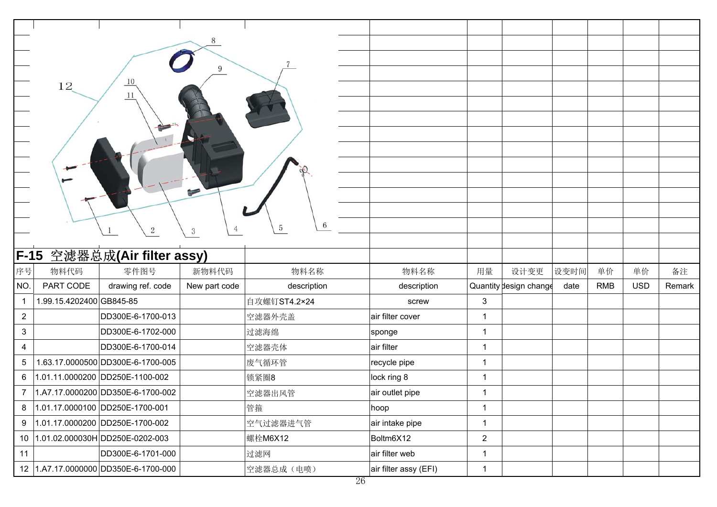|                         |                          |                                   | $\mathbf Q$   |              |                  |                |                        |      |            |            |        |
|-------------------------|--------------------------|-----------------------------------|---------------|--------------|------------------|----------------|------------------------|------|------------|------------|--------|
|                         | 12                       | 10                                |               |              |                  |                |                        |      |            |            |        |
|                         |                          | 11                                |               |              |                  |                |                        |      |            |            |        |
|                         |                          |                                   |               |              |                  |                |                        |      |            |            |        |
|                         |                          |                                   |               |              |                  |                |                        |      |            |            |        |
|                         |                          |                                   |               |              |                  |                |                        |      |            |            |        |
|                         |                          |                                   |               |              |                  |                |                        |      |            |            |        |
|                         |                          |                                   |               |              |                  |                |                        |      |            |            |        |
|                         |                          |                                   | ⊨             |              |                  |                |                        |      |            |            |        |
|                         |                          |                                   |               |              |                  |                |                        |      |            |            |        |
|                         |                          | $\,2$                             | 3             | 6<br>5       |                  |                |                        |      |            |            |        |
|                         |                          |                                   |               |              |                  |                |                        |      |            |            |        |
|                         |                          | F-15 空滤器总成(Air filter assy)       |               |              |                  |                |                        |      |            |            |        |
| 序号                      | 物料代码                     | 零件图号                              | 新物料代码         | 物料名称         | 物料名称             | 用量             | 设计变更                   | 设变时间 | 单价         | 单价         | 备注     |
| NO.                     | PART CODE                | drawing ref. code                 | New part code | description  | description      |                | Quantity design change | date | <b>RMB</b> | <b>USD</b> | Remark |
| $\mathbf{1}$            | 1.99.15.4202400 GB845-85 |                                   |               | 自攻螺钉ST4.2×24 | screw            | 3              |                        |      |            |            |        |
| $\overline{2}$          |                          | DD300E-6-1700-013                 |               | 空滤器外壳盖       | air filter cover | $\mathbf{1}$   |                        |      |            |            |        |
| 3                       |                          | DD300E-6-1702-000                 |               | 过滤海绵         | sponge           | $\mathbf{1}$   |                        |      |            |            |        |
| $\overline{\mathbf{4}}$ |                          | DD300E-6-1700-014                 |               | 空滤器壳体        | air filter       | $\mathbf{1}$   |                        |      |            |            |        |
| 5                       |                          | 1.63.17.0000500 DD300E-6-1700-005 |               | 废气循环管        | recycle pipe     | $\mathbf{1}$   |                        |      |            |            |        |
| $\,6\,$                 |                          | 1.01.11.0000200 DD250E-1100-002   |               | 锁紧圈8         | lock ring 8      | $\mathbf{1}$   |                        |      |            |            |        |
| 7                       |                          | 1.A7.17.0000200 DD350E-6-1700-002 |               | 空滤器出风管       | air outlet pipe  | $\mathbf 1$    |                        |      |            |            |        |
| 8                       |                          | 1.01.17.0000100 DD250E-1700-001   |               | 管箍           | hoop             | $\mathbf{1}$   |                        |      |            |            |        |
|                         |                          |                                   |               |              |                  |                |                        |      |            |            |        |
| 9                       |                          | 1.01.17.0000200 DD250E-1700-002   |               | 空气过滤器进气管     | air intake pipe  | $\mathbf{1}$   |                        |      |            |            |        |
| 10 <sup>1</sup>         |                          | 1.01.02.000030H DD250E-0202-003   |               | 螺栓M6X12      | Boltm6X12        | $\overline{2}$ |                        |      |            |            |        |
| 11                      |                          | DD300E-6-1701-000                 |               | 过滤网          | air filter web   | $\mathbf{1}$   |                        |      |            |            |        |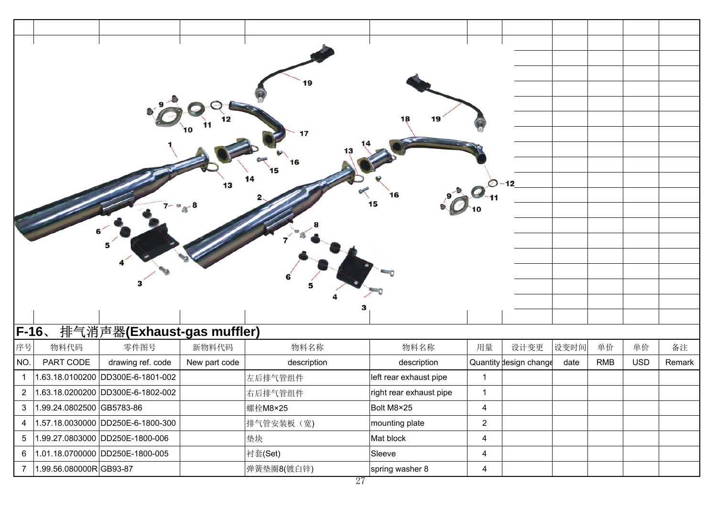|                |                           |                                   |               | 19          |                         |                         |                        |      |            |            |        |
|----------------|---------------------------|-----------------------------------|---------------|-------------|-------------------------|-------------------------|------------------------|------|------------|------------|--------|
|                |                           |                                   |               |             |                         |                         |                        |      |            |            |        |
|                |                           |                                   |               |             |                         |                         |                        |      |            |            |        |
|                |                           |                                   |               | 17          |                         |                         |                        |      |            |            |        |
|                |                           |                                   |               |             |                         |                         |                        |      |            |            |        |
|                |                           |                                   |               |             |                         |                         |                        |      |            |            |        |
|                |                           |                                   | 13            | 14          |                         |                         | $O - 12$               |      |            |            |        |
|                |                           |                                   |               |             | 16                      |                         |                        |      |            |            |        |
|                |                           |                                   |               |             | 15                      |                         |                        |      |            |            |        |
|                |                           |                                   |               |             |                         |                         |                        |      |            |            |        |
|                |                           |                                   |               |             |                         |                         |                        |      |            |            |        |
|                |                           |                                   |               |             |                         |                         |                        |      |            |            |        |
|                |                           |                                   |               |             |                         |                         |                        |      |            |            |        |
|                |                           |                                   |               |             |                         |                         |                        |      |            |            |        |
|                |                           |                                   |               |             |                         |                         |                        |      |            |            |        |
|                |                           |                                   |               |             |                         |                         |                        |      |            |            |        |
| $F-16$         |                           | 排气消声器(Exhaust-gas muffler)        |               |             |                         |                         |                        |      |            |            |        |
| 序号             | 物料代码                      | 零件图号                              | 新物料代码         | 物料名称        | 物料名称                    | 用量                      | 设计变更                   | 设变时间 | 单价         | 单价         | 备注     |
| NO.            | PART CODE                 | drawing ref. code                 | New part code | description | description             |                         | Quantity design change | date | <b>RMB</b> | <b>USD</b> | Remark |
| $\mathbf{1}$   |                           | 1.63.18.0100200 DD300E-6-1801-002 |               | 左后排气管组件     | left rear exhaust pipe  | $\mathbf{1}$            |                        |      |            |            |        |
| $\overline{c}$ |                           | 1.63.18.0200200 DD300E-6-1802-002 |               | 右后排气管组件     | right rear exhaust pipe | $\mathbf{1}$            |                        |      |            |            |        |
| 3              | 1.99.24.0802500 GB5783-86 |                                   |               | 螺栓M8×25     | Bolt M8×25              | 4                       |                        |      |            |            |        |
| $\overline{4}$ |                           | 1.57.18.0030000 DD250E-6-1800-300 |               | 排气管安装板(宽)   | mounting plate          | $\overline{2}$          |                        |      |            |            |        |
| 5              |                           | 1.99.27.0803000 DD250E-1800-006   |               | 垫块          | Mat block               | $\overline{\mathbf{4}}$ |                        |      |            |            |        |
| 6              |                           | 1.01.18.0700000 DD250E-1800-005   |               | 衬套(Set)     | Sleeve                  | 4                       |                        |      |            |            |        |
| $\overline{7}$ | 1.99.56.080000RGB93-87    |                                   |               | 弹簧垫圈8(镀白锌)  | spring washer 8         | $\overline{4}$          |                        |      |            |            |        |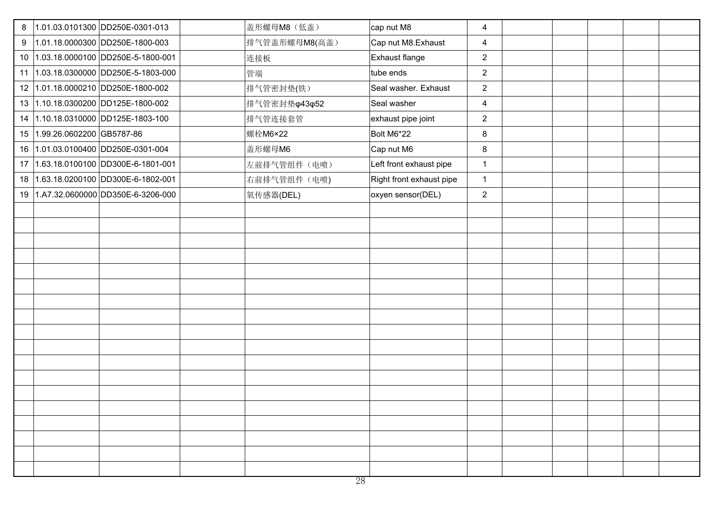| 8 |                              | 1.01.03.0101300 DD250E-0301-013      | 盖形螺母M8 (低盖)   | cap nut M8               | 4                       |  |  |
|---|------------------------------|--------------------------------------|---------------|--------------------------|-------------------------|--|--|
|   |                              | 9  1.01.18.0000300  DD250E-1800-003  | 排气管盖形螺母M8(高盖) | Cap nut M8. Exhaust      | 4                       |  |  |
|   |                              | 10 1.03.18.0000100 DD250E-5-1800-001 | 连接板           | Exhaust flange           | $\overline{2}$          |  |  |
|   |                              | 11 1.03.18.0300000 DD250E-5-1803-000 | 管端            | tube ends                | $\overline{2}$          |  |  |
|   |                              | 12 1.01.18.0000210 DD250E-1800-002   | 排气管密封垫(铁)     | Seal washer. Exhaust     | $\overline{2}$          |  |  |
|   |                              | 13 1.10.18.0300200 DD125E-1800-002   | 排气管密封垫φ43φ52  | Seal washer              | $\overline{\mathbf{4}}$ |  |  |
|   |                              | 14 1.10.18.0310000 DD125E-1803-100   | 排气管连接套管       | exhaust pipe joint       | $\overline{2}$          |  |  |
|   | 15 1.99.26.0602200 GB5787-86 |                                      | 螺栓M6×22       | Bolt M6*22               | 8                       |  |  |
|   |                              | 16 1.01.03.0100400 DD250E-0301-004   | 盖形螺母M6        | Cap nut M6               | 8                       |  |  |
|   |                              | 17 1.63.18.0100100 DD300E-6-1801-001 | 左前排气管组件(电喷)   | Left front exhaust pipe  | $\mathbf{1}$            |  |  |
|   |                              | 18 1.63.18.0200100 DD300E-6-1802-001 | 右前排气管组件(电喷)   | Right front exhaust pipe | $\mathbf{1}$            |  |  |
|   |                              | 19 1.A7.32.0600000 DD350E-6-3206-000 | 氧传感器(DEL)     | oxyen sensor(DEL)        | $\overline{2}$          |  |  |
|   |                              |                                      |               |                          |                         |  |  |
|   |                              |                                      |               |                          |                         |  |  |
|   |                              |                                      |               |                          |                         |  |  |
|   |                              |                                      |               |                          |                         |  |  |
|   |                              |                                      |               |                          |                         |  |  |
|   |                              |                                      |               |                          |                         |  |  |
|   |                              |                                      |               |                          |                         |  |  |
|   |                              |                                      |               |                          |                         |  |  |
|   |                              |                                      |               |                          |                         |  |  |
|   |                              |                                      |               |                          |                         |  |  |
|   |                              |                                      |               |                          |                         |  |  |
|   |                              |                                      |               |                          |                         |  |  |
|   |                              |                                      |               |                          |                         |  |  |
|   |                              |                                      |               |                          |                         |  |  |
|   |                              |                                      |               |                          |                         |  |  |
|   |                              |                                      |               |                          |                         |  |  |
|   |                              |                                      |               |                          |                         |  |  |
|   |                              |                                      |               |                          |                         |  |  |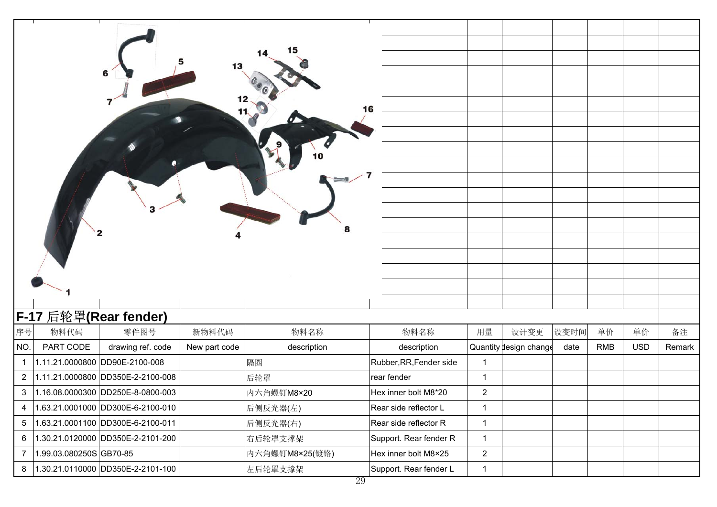|                |                         | 6                                 | 13<br>11,     | 8              |                         |                |                        |      |            |            |        |
|----------------|-------------------------|-----------------------------------|---------------|----------------|-------------------------|----------------|------------------------|------|------------|------------|--------|
|                |                         | F-17 后轮罩(Rear fender)             |               |                |                         |                |                        |      |            |            |        |
| 序号             | 物料代码                    | 零件图号                              | 新物料代码         | 物料名称           | 物料名称                    | 用量             | 设计变更                   | 设变时间 | 单价         | 单价         | 备注     |
| NO.            | PART CODE               | drawing ref. code                 | New part code | description    | description             |                | Quantity design change | date | <b>RMB</b> | <b>USD</b> | Remark |
| $\mathbf{1}$   |                         | 1.11.21.0000800 DD90E-2100-008    |               | 隔圈             | Rubber, RR, Fender side | $\mathbf{1}$   |                        |      |            |            |        |
| $\mathbf{2}$   |                         | 1.11.21.0000800 DD350E-2-2100-008 |               | 后轮罩            | rear fender             | $\mathbf{1}$   |                        |      |            |            |        |
| 3              |                         | 1.16.08.0000300 DD250E-8-0800-003 |               | 内六角螺钉M8×20     | Hex inner bolt M8*20    | $\overline{c}$ |                        |      |            |            |        |
| 4              |                         | 1.63.21.0001000 DD300E-6-2100-010 |               | 后侧反光器(左)       | Rear side reflector L   | $\mathbf{1}$   |                        |      |            |            |        |
| $\overline{5}$ |                         | 1.63.21.0001100 DD300E-6-2100-011 |               | 后侧反光器(右)       | Rear side reflector R   | $\mathbf{1}$   |                        |      |            |            |        |
| 6              |                         | 1.30.21.0120000 DD350E-2-2101-200 |               | 右后轮罩支撑架        | Support. Rear fender R  | $\mathbf{1}$   |                        |      |            |            |        |
| $\overline{7}$ | 1.99.03.080250S GB70-85 |                                   |               | 内六角螺钉M8×25(镀铬) | Hex inner bolt M8×25    | $\overline{2}$ |                        |      |            |            |        |
| 8              |                         | 1.30.21.0110000 DD350E-2-2101-100 |               | 左后轮罩支撑架        | Support. Rear fender L  | $\mathbf{1}$   |                        |      |            |            |        |